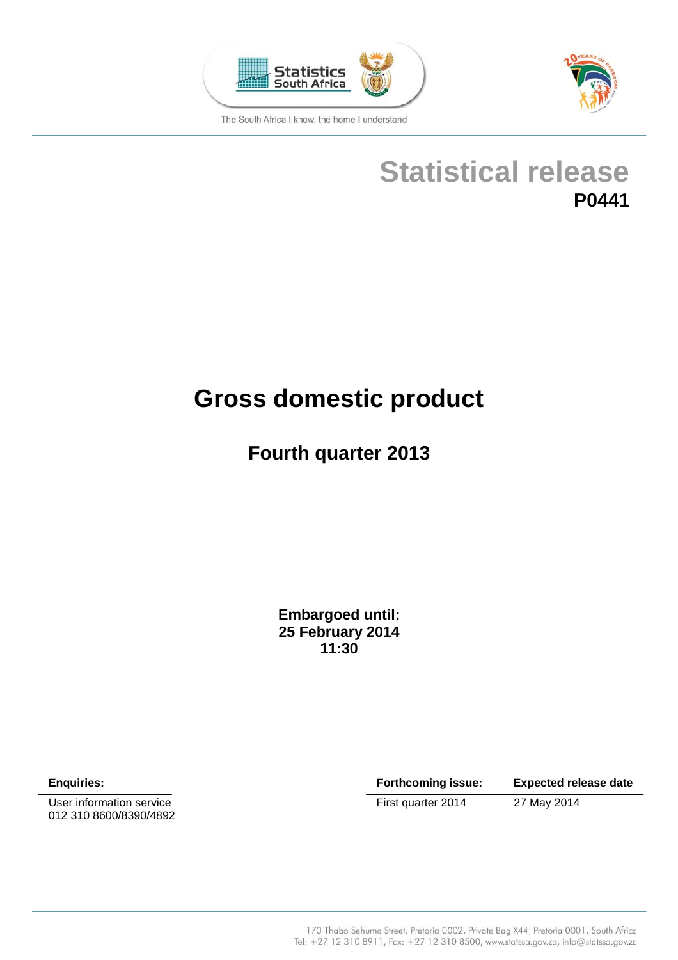



**Statistical release P0441** 

# **Gross domestic product**

## **Fourth quarter 2013**

**Embargoed until: 25 February 2014 11:30**

User information service **EXECUTE:** First quarter 2014 27 May 2014 012 310 8600/8390/4892

**Enquiries: Forthcoming issue: Expected release date**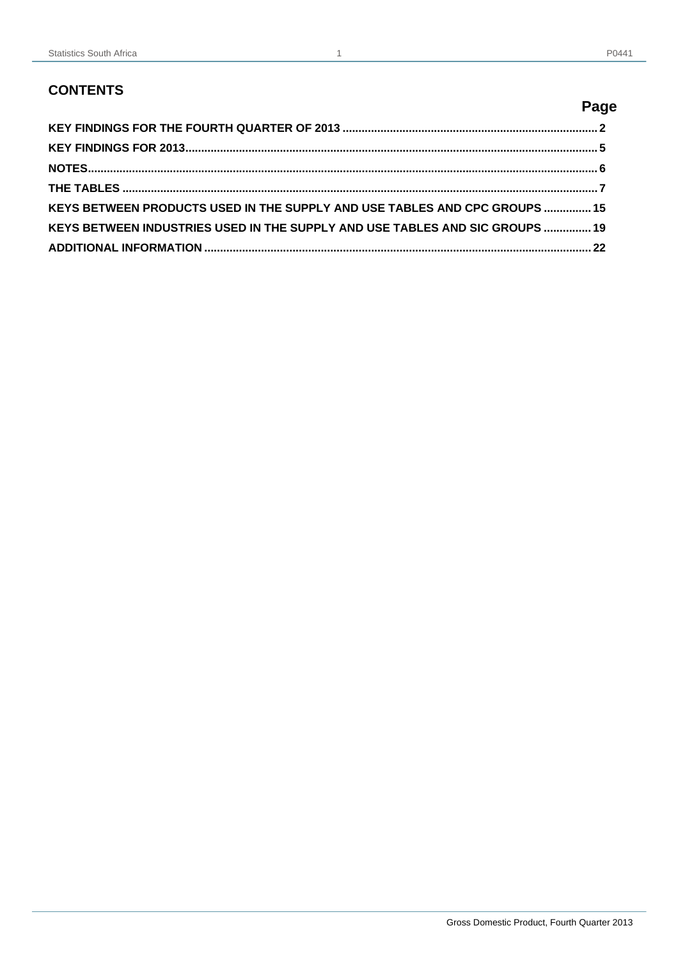## **CONTENTS**

|                                                                              | Page |
|------------------------------------------------------------------------------|------|
|                                                                              |      |
|                                                                              |      |
|                                                                              |      |
|                                                                              |      |
| KEYS BETWEEN PRODUCTS USED IN THE SUPPLY AND USE TABLES AND CPC GROUPS  15   |      |
| KEYS BETWEEN INDUSTRIES USED IN THE SUPPLY AND USE TABLES AND SIC GROUPS  19 |      |
|                                                                              |      |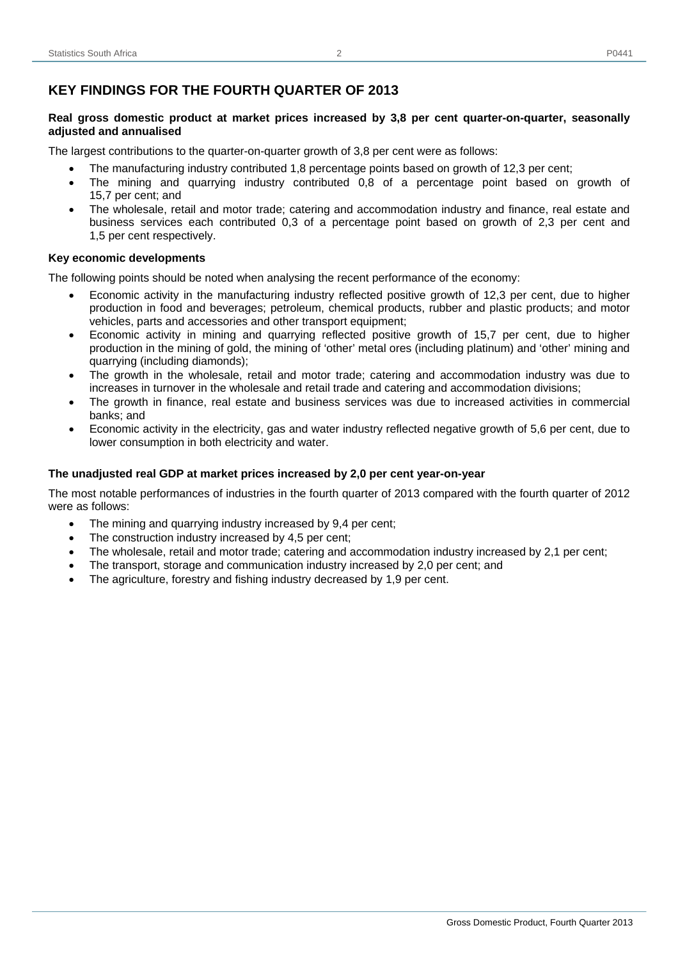## **KEY FINDINGS FOR THE FOURTH QUARTER OF 2013**

#### **Real gross domestic product at market prices increased by 3,8 per cent quarter-on-quarter, seasonally adjusted and annualised**

The largest contributions to the quarter-on-quarter growth of 3,8 per cent were as follows:

- The manufacturing industry contributed 1,8 percentage points based on growth of 12,3 per cent;
- The mining and quarrying industry contributed 0,8 of a percentage point based on growth of 15,7 per cent; and
- The wholesale, retail and motor trade; catering and accommodation industry and finance, real estate and business services each contributed 0,3 of a percentage point based on growth of 2,3 per cent and 1,5 per cent respectively.

#### **Key economic developments**

The following points should be noted when analysing the recent performance of the economy:

- Economic activity in the manufacturing industry reflected positive growth of 12,3 per cent, due to higher production in food and beverages; petroleum, chemical products, rubber and plastic products; and motor vehicles, parts and accessories and other transport equipment;
- Economic activity in mining and quarrying reflected positive growth of 15,7 per cent, due to higher production in the mining of gold, the mining of 'other' metal ores (including platinum) and 'other' mining and quarrying (including diamonds);
- The growth in the wholesale, retail and motor trade; catering and accommodation industry was due to increases in turnover in the wholesale and retail trade and catering and accommodation divisions;
- The growth in finance, real estate and business services was due to increased activities in commercial banks; and
- Economic activity in the electricity, gas and water industry reflected negative growth of 5,6 per cent, due to lower consumption in both electricity and water.

#### **The unadjusted real GDP at market prices increased by 2,0 per cent year-on-year**

The most notable performances of industries in the fourth quarter of 2013 compared with the fourth quarter of 2012 were as follows:

- The mining and quarrying industry increased by 9,4 per cent;
- The construction industry increased by 4,5 per cent;
- The wholesale, retail and motor trade; catering and accommodation industry increased by 2,1 per cent;
- The transport, storage and communication industry increased by 2,0 per cent; and
- The agriculture, forestry and fishing industry decreased by 1,9 per cent.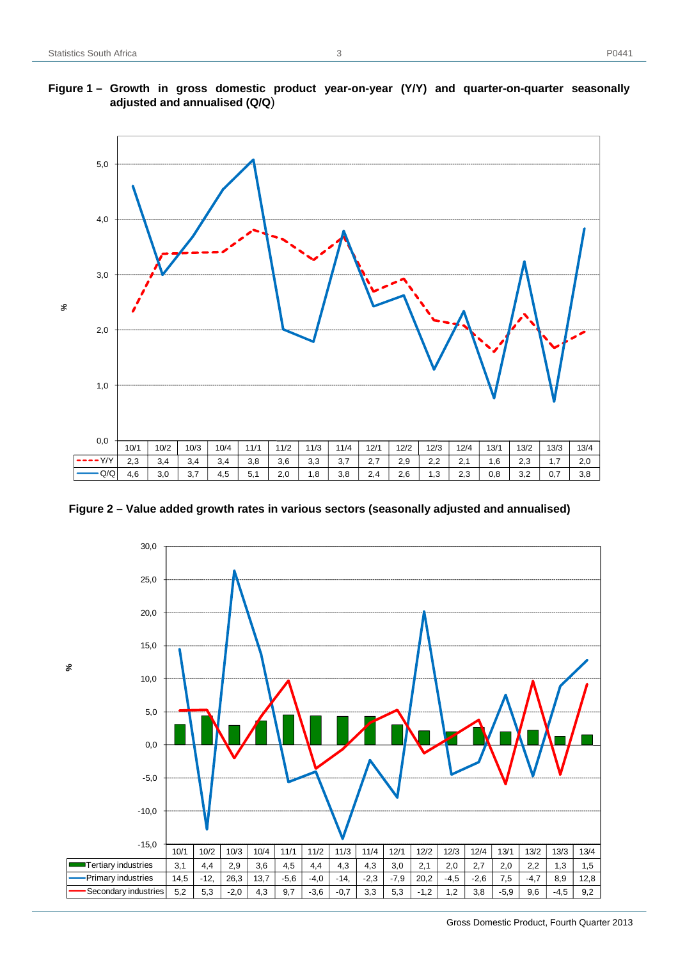## **Figure 1 – Growth in gross domestic product year-on-year (Y/Y) and quarter-on-quarter seasonally adjusted and annualised (Q/Q**)



**Figure 2 – Value added growth rates in various sectors (seasonally adjusted and annualised)** 

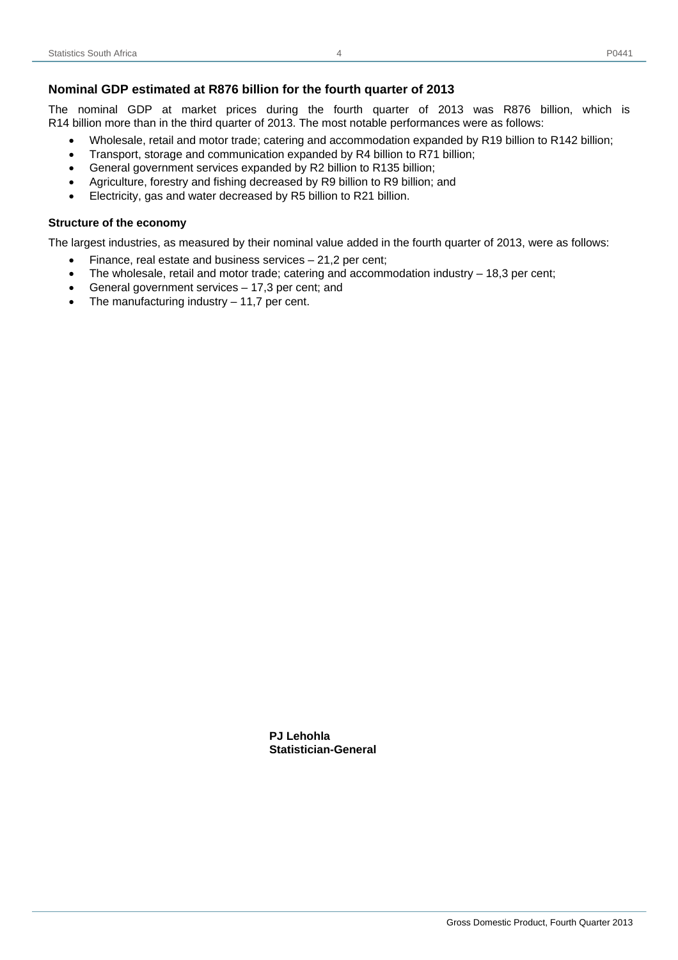The nominal GDP at market prices during the fourth quarter of 2013 was R876 billion, which is R14 billion more than in the third quarter of 2013. The most notable performances were as follows:

4

- Wholesale, retail and motor trade; catering and accommodation expanded by R19 billion to R142 billion;
- Transport, storage and communication expanded by R4 billion to R71 billion;
- General government services expanded by R2 billion to R135 billion;
- Agriculture, forestry and fishing decreased by R9 billion to R9 billion; and
- Electricity, gas and water decreased by R5 billion to R21 billion.

#### **Structure of the economy**

The largest industries, as measured by their nominal value added in the fourth quarter of 2013, were as follows:

- Finance, real estate and business services 21,2 per cent;
- The wholesale, retail and motor trade; catering and accommodation industry  $-18,3$  per cent;
- General government services 17,3 per cent; and
- The manufacturing industry 11,7 per cent.

 **PJ Lehohla Statistician-General**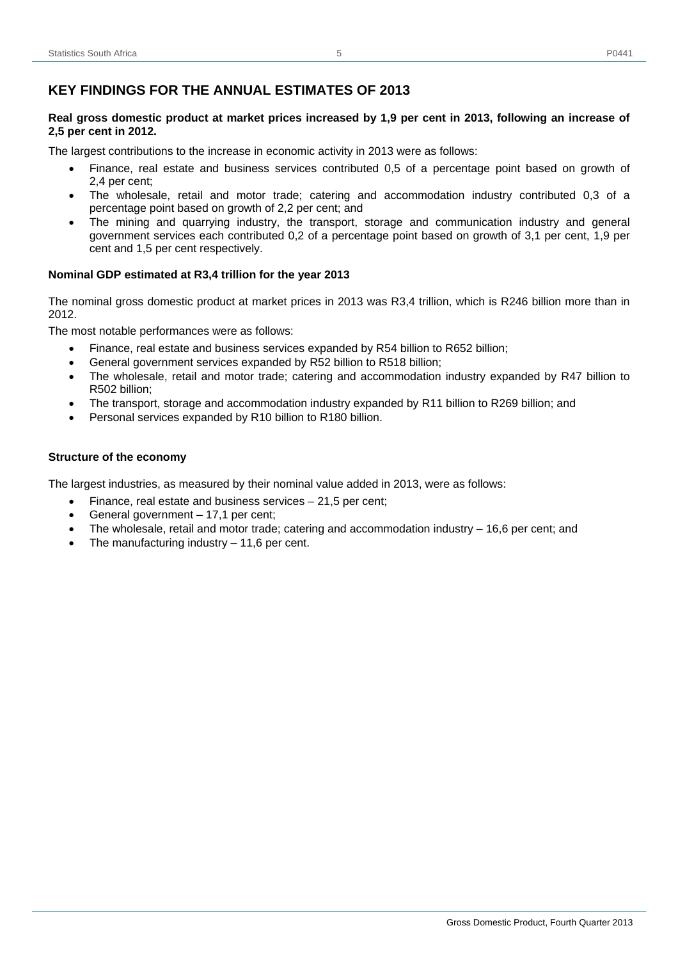## **KEY FINDINGS FOR THE ANNUAL ESTIMATES OF 2013**

#### **Real gross domestic product at market prices increased by 1,9 per cent in 2013, following an increase of 2,5 per cent in 2012.**

The largest contributions to the increase in economic activity in 2013 were as follows:

- Finance, real estate and business services contributed 0,5 of a percentage point based on growth of 2,4 per cent;
- The wholesale, retail and motor trade; catering and accommodation industry contributed 0,3 of a percentage point based on growth of 2,2 per cent; and
- The mining and quarrying industry, the transport, storage and communication industry and general government services each contributed 0,2 of a percentage point based on growth of 3,1 per cent, 1,9 per cent and 1,5 per cent respectively.

#### **Nominal GDP estimated at R3,4 trillion for the year 2013**

The nominal gross domestic product at market prices in 2013 was R3,4 trillion, which is R246 billion more than in 2012.

The most notable performances were as follows:

- Finance, real estate and business services expanded by R54 billion to R652 billion;
- General government services expanded by R52 billion to R518 billion;
- The wholesale, retail and motor trade; catering and accommodation industry expanded by R47 billion to R502 billion;
- The transport, storage and accommodation industry expanded by R11 billion to R269 billion; and
- Personal services expanded by R10 billion to R180 billion.

#### **Structure of the economy**

The largest industries, as measured by their nominal value added in 2013, were as follows:

- Finance, real estate and business services  $-21,5$  per cent;
- General government 17,1 per cent;
- The wholesale, retail and motor trade; catering and accommodation industry  $-16,6$  per cent; and
- The manufacturing industry  $-11,6$  per cent.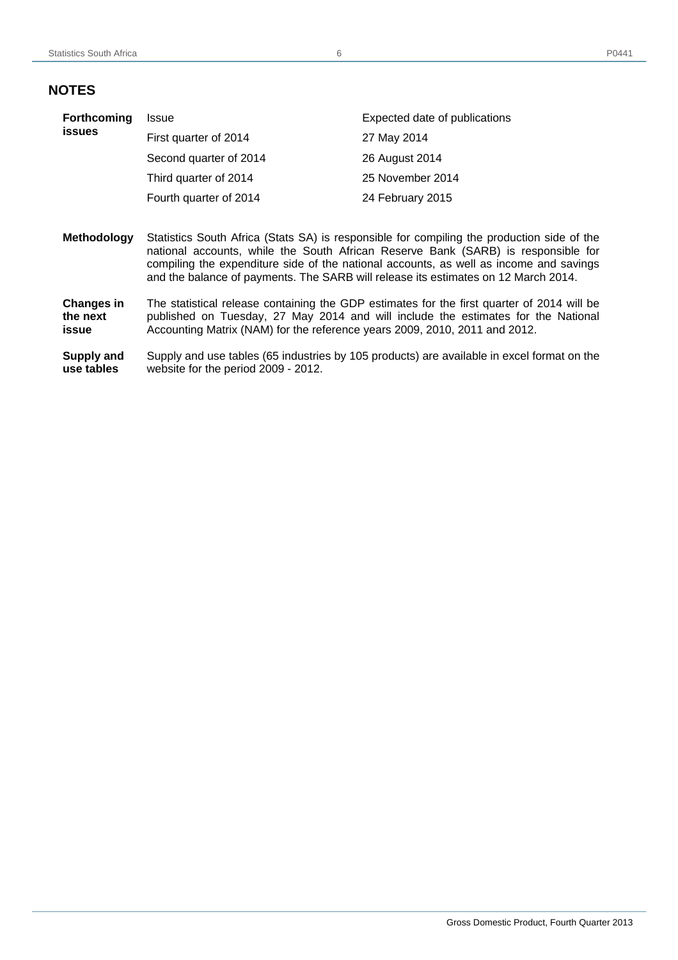## **NOTES**

| Forthcoming<br><b>issues</b> | Issue                                                                                                                                                                                                                                                                                                                                                           | Expected date of publications |  |  |  |  |  |  |
|------------------------------|-----------------------------------------------------------------------------------------------------------------------------------------------------------------------------------------------------------------------------------------------------------------------------------------------------------------------------------------------------------------|-------------------------------|--|--|--|--|--|--|
|                              | First quarter of 2014                                                                                                                                                                                                                                                                                                                                           | 27 May 2014                   |  |  |  |  |  |  |
|                              | Second quarter of 2014                                                                                                                                                                                                                                                                                                                                          | 26 August 2014                |  |  |  |  |  |  |
|                              | Third quarter of 2014                                                                                                                                                                                                                                                                                                                                           | 25 November 2014              |  |  |  |  |  |  |
|                              | Fourth quarter of 2014                                                                                                                                                                                                                                                                                                                                          | 24 February 2015              |  |  |  |  |  |  |
|                              |                                                                                                                                                                                                                                                                                                                                                                 |                               |  |  |  |  |  |  |
|                              | Statistics South Africa (Stats SA) is responsible for compiling the production side of the<br>national accounts, while the South African Reserve Bank (SARB) is responsible for<br>compiling the expenditure side of the national accounts, as well as income and savings<br>and the balance of payments. The SARB will release its estimates on 12 March 2014. |                               |  |  |  |  |  |  |
| <b>Methodology</b>           |                                                                                                                                                                                                                                                                                                                                                                 |                               |  |  |  |  |  |  |

**Supply and use tables**  Supply and use tables (65 industries by 105 products) are available in excel format on the website for the period 2009 - 2012.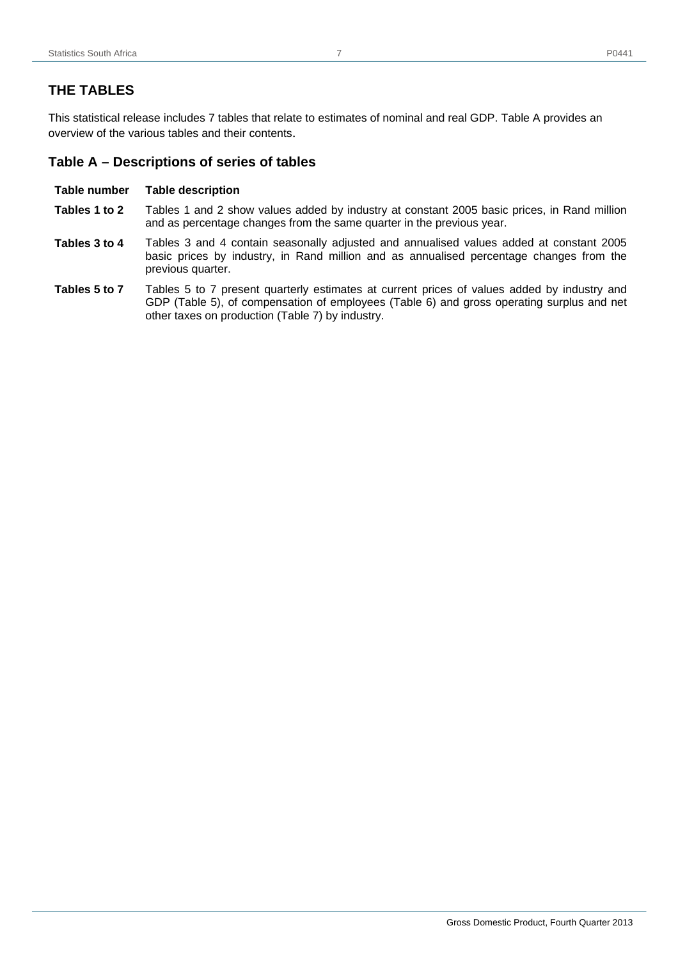## **THE TABLES**

This statistical release includes 7 tables that relate to estimates of nominal and real GDP. Table A provides an overview of the various tables and their contents.

## **Table A – Descriptions of series of tables**

#### **Table number Table description**

- **Tables 1 to 2** Tables 1 and 2 show values added by industry at constant 2005 basic prices, in Rand million and as percentage changes from the same quarter in the previous year.
- **Tables 3 to 4** Tables 3 and 4 contain seasonally adjusted and annualised values added at constant 2005 basic prices by industry, in Rand million and as annualised percentage changes from the previous quarter.
- **Tables 5 to 7** Tables 5 to 7 present quarterly estimates at current prices of values added by industry and GDP (Table 5), of compensation of employees (Table 6) and gross operating surplus and net other taxes on production (Table 7) by industry.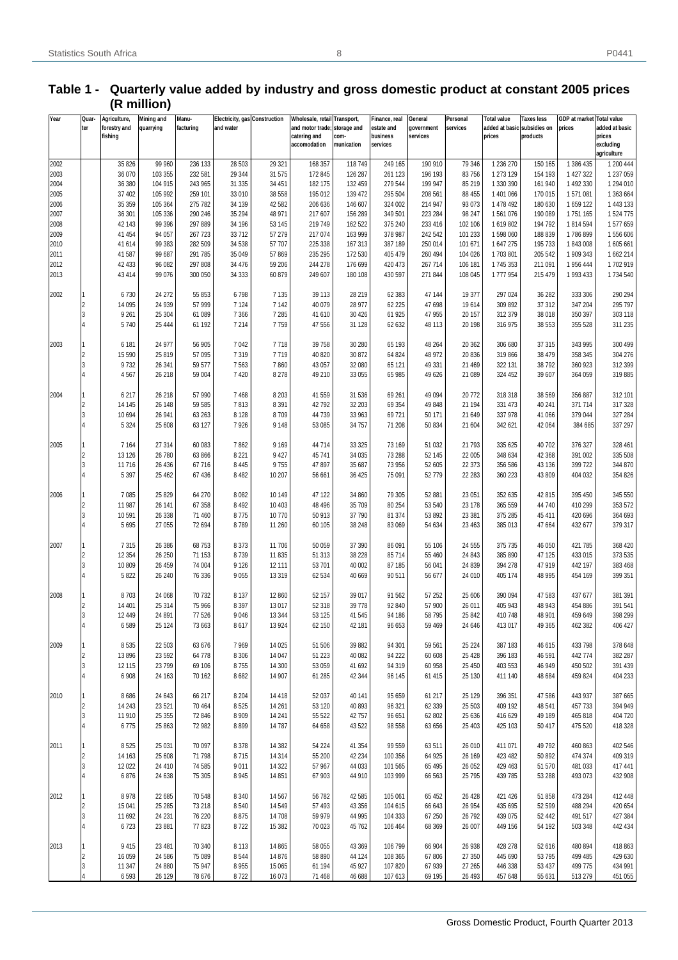| Year         | Quar-<br>ter            | Agriculture,<br>forestry and<br>fishing | Mining and<br>quarrying | Manu-<br>facturing | <b>Electricity, gas Construction</b><br>and water |                  | Wholesale, retail Transport,<br>and motor trade; storage and<br>catering and<br>accomodation | com-<br>munication | Finance, real<br>estate and<br>business<br>services | General<br>government<br>services | Personal<br>services | Total value<br>added at basic subsidies on<br>prices | Taxes less<br>products | GDP at market<br>prices | <b>Total value</b><br>added at basic<br>prices<br>excluding<br>agriculture |
|--------------|-------------------------|-----------------------------------------|-------------------------|--------------------|---------------------------------------------------|------------------|----------------------------------------------------------------------------------------------|--------------------|-----------------------------------------------------|-----------------------------------|----------------------|------------------------------------------------------|------------------------|-------------------------|----------------------------------------------------------------------------|
| 2002         |                         | 35 826                                  | 99 960                  | 236 133            | 28 503                                            | 29 3 21          | 168 357                                                                                      | 118 749            | 249 165                                             | 190 910                           | 79 346               | 1 236 270                                            | 150 165                | 1 386 435               | 1 200 444                                                                  |
| 2003         |                         | 36 070                                  | 103 355                 | 232 581            | 29 344                                            | 31 575           | 172 845                                                                                      | 126 287            | 261 123                                             | 196 193                           | 83 756               | 1 273 129                                            | 154 193                | 1 427 322               | 1 237 059                                                                  |
| 2004         |                         | 36 380                                  | 104 915                 | 243 965            | 31 335                                            | 34 451           | 182 175                                                                                      | 132 459            | 279 544                                             | 199 947                           | 85 219               | 1 330 390                                            | 161 940                | 1 492 330               | 1 294 010                                                                  |
| 2005<br>2006 |                         | 37 402<br>35 35 9                       | 105 992<br>105 364      | 259 101<br>275 782 | 33 010<br>34 139                                  | 38 558<br>42 582 | 195 012<br>206 636                                                                           | 139 472<br>146 607 | 295 504<br>324 002                                  | 208 561<br>214 947                | 88 455<br>93 073     | 1 401 066<br>1 478 492                               | 170 015<br>180 630     | 1571081<br>1 659 122    | 1 363 664<br>1 443 133                                                     |
| 2007         |                         | 36 301                                  | 105 336                 | 290 246            | 35 294                                            | 48 971           | 217 607                                                                                      | 156 289            | 349 501                                             | 223 284                           | 98 247               | 1561076                                              | 190 089                | 1751165                 | 1 524 775                                                                  |
| 2008         |                         | 42 143                                  | 99 396                  | 297 889            | 34 196                                            | 53 145           | 219 749                                                                                      | 162 522            | 375 240                                             | 233 416                           | 102 106              | 1619802                                              | 194 792                | 1814594                 | 1577659                                                                    |
| 2009         |                         | 41 454                                  | 94 057                  | 267 723            | 33 712                                            | 57 279           | 217 074                                                                                      | 163 999            | 378 987                                             | 242 542                           | 101 233              | 1598060                                              | 188 839                | 1786899                 | 1556606                                                                    |
| 2010         |                         | 41 614                                  | 99 383                  | 282 509            | 34 5 38                                           | 57 707           | 225 338                                                                                      | 167 313            | 387 189                                             | 250 014                           | 101 671              | 1 647 275                                            | 195 733                | 1843008                 | 1605661                                                                    |
| 2011         |                         | 41 587                                  | 99 687                  | 291 785            | 35 049                                            | 57 869           | 235 295                                                                                      | 172 530            | 405 479                                             | 260 494                           | 104 026              | 1703801                                              | 205 542                | 1 909 343               | 1662 214                                                                   |
| 2012         |                         | 42 433                                  | 96 082                  | 297 808            | 34 476                                            | 59 206           | 244 278                                                                                      | 176 699            | 420 473                                             | 267714                            | 106 181              | 1745 353                                             | 211 091                | 1 956 444               | 1702919                                                                    |
| 2013         |                         | 43 414                                  | 99 0 76                 | 300 050            | 34 333                                            | 60 879           | 249 607                                                                                      | 180 108            | 430 597                                             | 271 844                           | 108 045              | 1777954                                              | 215 479                | 1 993 433               | 1734 540                                                                   |
| 2002         |                         | 6730                                    | 24 27 2                 | 55 853             | 6798                                              | 7 1 3 5          | 39 113                                                                                       | 28 219             | 62 383                                              | 47 144                            | 19 377               | 297 024                                              | 36 28 2                | 333 306                 | 290 294                                                                    |
|              | $\overline{2}$          | 14 095                                  | 24 939                  | 57 999             | 7 1 2 4                                           | 7 1 4 2          | 40 079                                                                                       | 28 977             | 62 225                                              | 47 698                            | 19614                | 309 892                                              | 37 312                 | 347 204                 | 295 797                                                                    |
|              | 3                       | 9 2 6 1                                 | 25 304                  | 61 089             | 7 3 6 6                                           | 7 2 8 5          | 41 610                                                                                       | 30 4 26            | 61 925                                              | 47 955                            | 20 157               | 312 379                                              | 38 018                 | 350 397                 | 303 118                                                                    |
|              | $\overline{4}$          | 5740                                    | 25 4 44                 | 61 192             | 7 2 1 4                                           | 7759             | 47 556                                                                                       | 31 128             | 62 632                                              | 48 113                            | 20 198               | 316 975                                              | 38 553                 | 355 528                 | 311 235                                                                    |
|              |                         |                                         |                         |                    |                                                   |                  |                                                                                              |                    |                                                     |                                   |                      |                                                      |                        |                         |                                                                            |
| 2003         | 1                       | 6 181                                   | 24 977                  | 56 905             | 7042                                              | 7718             | 39 758                                                                                       | 30 280             | 65 193                                              | 48 264                            | 20 362               | 306 680                                              | 37 315                 | 343 995                 | 300 499                                                                    |
|              | $\overline{2}$          | 15 590                                  | 25 8 19                 | 57 095             | 7319                                              | 7719             | 40 820                                                                                       | 30 872             | 64 824                                              | 48 972                            | 20 836               | 319 866                                              | 38 479                 | 358 345                 | 304 276                                                                    |
|              | 3                       | 9732                                    | 26 341                  | 59 577             | 7563                                              | 7860             | 43 057                                                                                       | 32 080             | 65 121                                              | 49 331                            | 21 469               | 322 131                                              | 38 792                 | 360 923                 | 312 399                                                                    |
|              | $\overline{4}$          | 4567                                    | 26 218                  | 59 004             | 7 4 20                                            | 8 2 7 8          | 49 210                                                                                       | 33 055             | 65 985                                              | 49 626                            | 21 089               | 324 452                                              | 39 607                 | 364 059                 | 319885                                                                     |
| 2004         |                         | 6 217                                   | 26 218                  | 57 990             | 7468                                              | 8 2 0 3          | 41 559                                                                                       | 31 536             | 69 261                                              | 49 0 94                           | 20772                | 318 318                                              | 38 569                 | 356 887                 | 312 101                                                                    |
|              | $\overline{2}$          | 14 145                                  | 26 148                  | 59 585             | 7813                                              | 8 3 9 1          | 42 792                                                                                       | 32 203             | 69 354                                              | 49 848                            | 21 194               | 331 473                                              | 40 241                 | 371 714                 | 317 328                                                                    |
|              | 3                       | 10 694                                  | 26 941                  | 63 263             | 8 1 2 8                                           | 8709             | 44 739                                                                                       | 33 963             | 69721                                               | 50 171                            | 21 649               | 337 978                                              | 41 066                 | 379 044                 | 327 284                                                                    |
|              | 4                       | 5 3 2 4                                 | 25 608                  | 63 127             | 7926                                              | 9 1 4 8          | 53 085                                                                                       | 34 757             | 71 208                                              | 50 834                            | 21 604               | 342 621                                              | 42 064                 | 384 685                 | 337 297                                                                    |
| 2005         |                         | 7 1 6 4                                 | 27 314                  | 60 083             | 7862                                              | 9 1 6 9          | 44 714                                                                                       | 33 325             | 73 169                                              | 51 032                            | 21 793               | 335 625                                              | 40 702                 | 376 327                 | 328 461                                                                    |
|              | $\overline{2}$          | 13 126                                  | 26 780                  | 63 866             | 8 2 2 1                                           | 9 4 2 7          | 45 741                                                                                       | 34 035             | 73 288                                              | 52 145                            | 22 005               | 348 634                                              | 42 368                 | 391 002                 | 335 508                                                                    |
|              | 3                       | 11716                                   | 26 4 36                 | 67716              | 8 4 4 5                                           | 9755             | 47 897                                                                                       | 35 687             | 73 956                                              | 52 605                            | 22 373               | 356 586                                              | 43 136                 | 399 722                 | 344 870                                                                    |
|              | $\overline{4}$          | 5 3 9 7                                 | 25 4 62                 | 67436              | 8 4 8 2                                           | 10 207           | 56 661                                                                                       | 36 425             | 75 091                                              | 52779                             | 22 28 3              | 360 223                                              | 43 809                 | 404 032                 | 354 826                                                                    |
| 2006         | 1                       | 7 0 8 5                                 | 25 8 29                 | 64 270             | 8 0 8 2                                           | 10 149           | 47 122                                                                                       | 34 860             | 79 30 5                                             | 52 881                            | 23 051               | 352 635                                              | 42 815                 | 395 450                 | 345 550                                                                    |
|              | $\overline{2}$          | 11 987                                  | 26 141                  | 67 358             | 8 4 9 2                                           | 10 403           | 48 49 6                                                                                      | 35 709             | 80 254                                              | 53 540                            | 23 178               | 365 559                                              | 44 740                 | 410 299                 | 353 572                                                                    |
|              | 3                       | 10591                                   | 26 338                  | 71 460             | 8775                                              | 10770            | 50 913                                                                                       | 37 790             | 81 374                                              | 53 892                            | 23 381               | 375 285                                              | 45 411                 | 420 696                 | 364 693                                                                    |
|              | 4                       | 5 6 9 5                                 | 27 055                  | 72 694             | 8789                                              | 11 260           | 60 105                                                                                       | 38 248             | 83 069                                              | 54 634                            | 23 463               | 385 013                                              | 47 664                 | 432 677                 | 379 317                                                                    |
| 2007         |                         | 7315                                    | 26 386                  | 68753              | 8 3 7 3                                           | 11 706           | 50 059                                                                                       | 37 390             | 86 091                                              | 55 106                            | 24 5 55              | 375 735                                              | 46 050                 | 421 785                 | 368 420                                                                    |
|              | $\overline{2}$          | 12 3 54                                 | 26 250                  | 71 153             | 8739                                              | 11 835           | 51 313                                                                                       | 38 228             | 85714                                               | 55 460                            | 24 843               | 385 890                                              | 47 125                 | 433 015                 | 373 535                                                                    |
|              | 3                       | 10809                                   | 26 459                  | 74 004             | 9 1 2 6                                           | 12 111           | 53 701                                                                                       | 40 002             | 87 185                                              | 56 041                            | 24 839               | 394 278                                              | 47 919                 | 442 197                 | 383 468                                                                    |
|              | $\overline{4}$          | 5822                                    | 26 240                  | 76 336             | 9055                                              | 13 3 19          | 62 534                                                                                       | 40 669             | 90 511                                              | 56 677                            | 24 010               | 405 174                                              | 48 995                 | 454 169                 | 399 351                                                                    |
| 2008         |                         | 8703                                    | 24 068                  | 70732              | 8 1 3 7                                           | 12 860           | 52 157                                                                                       | 39 017             | 91 562                                              | 57 252                            | 25 606               | 390 094                                              | 47 583                 | 437 677                 | 381 391                                                                    |
|              | $\overline{2}$          | 14 401                                  | 25 314                  | 75 966             | 8 3 9 7                                           | 13 0 17          | 52 318                                                                                       | 39 778             | 92 840                                              | 57 900                            | 26 011               | 405 943                                              | 48 943                 | 454 886                 | 391 541                                                                    |
|              | 3                       | 12 449                                  | 24 891                  | 77 526             | 9046                                              | 13 3 44          | 53 125                                                                                       | 41 545             | 94 186                                              | 58 795                            | 25 842               | 410 748                                              | 48 901                 | 459 649                 | 398 299                                                                    |
|              | $\overline{4}$          | 6589                                    | 25 1 24                 | 73 663             | 8617                                              | 13 9 24          | 62 150                                                                                       | 42 181             | 96 653                                              | 59 469                            | 24 646               | 413 017                                              | 49 365                 | 462 382                 | 406 427                                                                    |
| 2009         | 1                       | 8535                                    | 22 503                  | 63 676             | 7969                                              | 14 0 25          | 51 506                                                                                       | 39 882             | 94 301                                              | 59 561                            | 25 224               | 387 183                                              | 46 615                 | 433 798                 | 378 648                                                                    |
|              | $\overline{2}$          | 13896                                   | 23 5 92                 | 64778              | 8 3 0 6                                           | 14 047           | 51 223                                                                                       | 40 082             | 94 222                                              | 60 608                            | 25 4 28              | 396 183                                              | 46 591                 | 442 774                 | 382 287                                                                    |
|              | 3                       | 12 115                                  | 23799                   | 69 106             | 8755                                              | 14 300           | 53 059                                                                                       | 41 692             | 94 31 9                                             | 60 958                            | 25 450               | 403 553                                              | 46 949                 | 450 502                 | 391 439                                                                    |
|              | 4                       | 6 9 0 8                                 | 24 163                  | 70 162             | 8682                                              | 14 907           | 61 285                                                                                       | 42 344             | 96 145                                              | 61 415                            | 25 130               | 411 140                                              | 48 684                 | 459 824                 | 404 233                                                                    |
| 2010         | 1                       | 8686                                    | 24 643                  | 66 217             | 8 2 0 4                                           | 14 4 18          | 52 037                                                                                       | 40 141             | 95 659                                              | 61 217                            | 25 1 29              | 396 351                                              | 47 586                 | 443 937                 | 387 665                                                                    |
|              | $\overline{2}$          | 14 24 3                                 | 23 5 21                 | 70 4 64            | 8525                                              | 14 261           | 53 120                                                                                       | 40 893             | 96 321                                              | 62 339                            | 25 503               | 409 192                                              | 48 541                 | 457 733                 | 394 949                                                                    |
|              | 3                       | 11910                                   | 25 355                  | 72 846             | 8 9 0 9                                           | 14 241           | 55 522                                                                                       | 42757              | 96 651                                              | 62 802                            | 25 636               | 416 629                                              | 49 189                 | 465 818                 | 404 720                                                                    |
|              | 4                       | 6775                                    | 25 863                  | 72 982             | 8899                                              | 14787            | 64 658                                                                                       | 43 522             | 98 558                                              | 63 656                            | 25 403               | 425 103                                              | 50 417                 | 475 520                 | 418 328                                                                    |
| 2011         |                         | 8525                                    | 25 031                  | 70 097             | 8 3 7 8                                           | 14 3 82          | 54 224                                                                                       | 41 354             | 99 559                                              | 63511                             | 26 010               | 411 071                                              | 49 792                 | 460 863                 | 402 546                                                                    |
|              | $\overline{2}$          | 14 163                                  | 25 608                  | 71798              | 8715                                              | 14 3 14          | 55 200                                                                                       | 42 234             | 100 356                                             | 64 925                            | 26 169               | 423 482                                              | 50 892                 | 474 374                 | 409 319                                                                    |
|              | 3                       | 12 0 22                                 | 24 4 10                 | 74 585             | 9011                                              | 14 3 22          | 57 967                                                                                       | 44 033             | 101 565                                             | 65 4 95                           | 26 052               | 429 463                                              | 51 570                 | 481 033                 | 417 441                                                                    |
|              | 4                       | 6876                                    | 24 638                  | 75 305             | 8945                                              | 14 8 51          | 67 903                                                                                       | 44 910             | 103 999                                             | 66 563                            | 25 7 95              | 439 785                                              | 53 288                 | 493 073                 | 432 908                                                                    |
| 2012         | 1                       | 8978                                    | 22 685                  | 70 548             | 8 3 4 0                                           | 14 5 67          | 56782                                                                                        | 42 585             | 105 061                                             | 65 452                            | 26 4 28              | 421 426                                              | 51 858                 | 473 284                 | 412 448                                                                    |
|              | $\overline{2}$          | 15 041                                  | 25 28 5                 | 73 218             | 8540                                              | 14 5 49          | 57 493                                                                                       | 43 356             | 104 615                                             | 66 643                            | 26 954               | 435 695                                              | 52 599                 | 488 294                 | 420 654                                                                    |
|              | 3                       | 11 692                                  | 24 231                  | 76 220             | 8875                                              | 14 708           | 59 979                                                                                       | 44 995             | 104 333                                             | 67 250                            | 26 792               | 439 075                                              | 52 442                 | 491 517                 | 427 384                                                                    |
|              | 4                       | 6723                                    | 23 881                  | 77823              | 8722                                              | 15 3 8 2         | 70 023                                                                                       | 45 762             | 106 464                                             | 68 369                            | 26 007               | 449 156                                              | 54 192                 | 503 348                 | 442 434                                                                    |
| 2013         | 1                       | 9415                                    | 23 4 81                 | 70 340             | 8 1 1 3                                           | 14 8 65          | 58 055                                                                                       | 43 369             | 106 799                                             | 66 904                            | 26 938               | 428 278                                              | 52 616                 | 480 894                 | 418 863                                                                    |
|              | $\overline{\mathbf{c}}$ | 16 059                                  | 24 5 86                 | 75 089             | 8544                                              | 14 876           | 58 890                                                                                       | 44 124             | 108 365                                             | 67806                             | 27 350               | 445 690                                              | 53795                  | 499 485                 | 429 630                                                                    |
|              | 3                       | 11 347                                  | 24 880                  | 75 947             | 8955                                              | 15 065           | 61 194                                                                                       | 45 927             | 107820                                              | 67939                             | 27 265               | 446 338                                              | 53 437                 | 499 775                 | 434 991                                                                    |

4 | 6593 | 26 129 | 78 676 | 8 722 | 16 073 | 71 468 | 46 688 | 107 613 | 69 195 | 26 493 | 457 648 | 55 631 | 513 279 | 451 055

## **Table 1 - Quarterly value added by industry and gross domestic product at constant 2005 prices (R million)**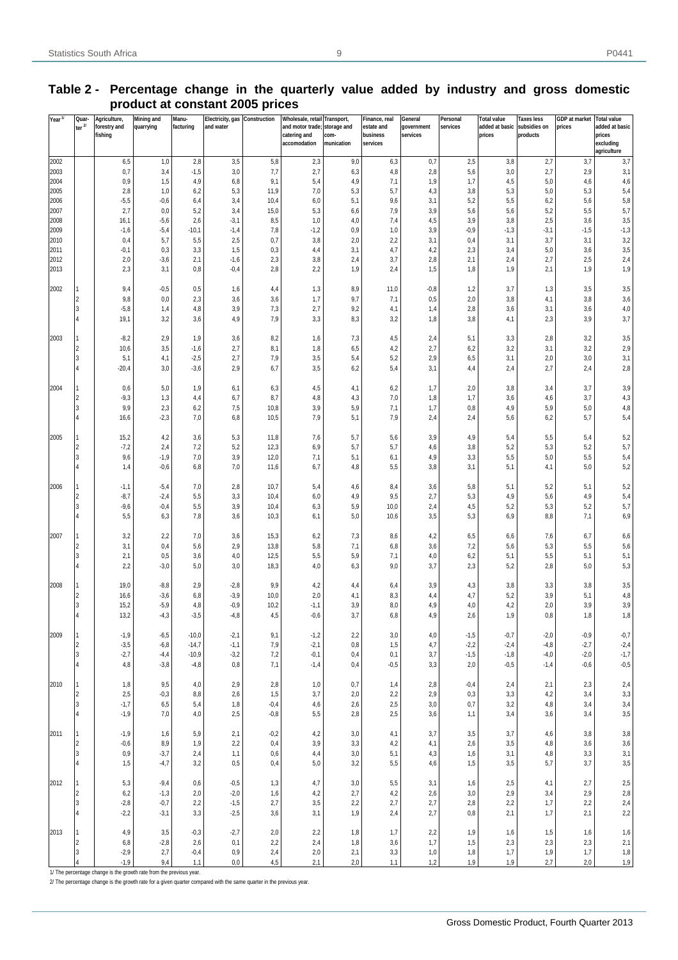| Year <sup>1/</sup> | Quar-                        | Agriculture,    | <b>Mining and</b> | Manu-          | Electricity, gas Construction |               | Wholesale, retail Transport, |                    | Finance, real        | General      | Personal      | <b>Total value</b> | <b>Taxes less</b> | <b>GDP</b> at market | <b>Total value</b>  |
|--------------------|------------------------------|-----------------|-------------------|----------------|-------------------------------|---------------|------------------------------|--------------------|----------------------|--------------|---------------|--------------------|-------------------|----------------------|---------------------|
|                    | ter $2l$                     | forestry and    | quarrying         | facturing      | and water                     |               | and motor trade;             | storage and        | estate and           | government   | services      | added at basic     | subsidies on      | prices               | added at basic      |
|                    |                              | fishing         |                   |                |                               |               | catering and<br>accomodation | com-<br>munication | business<br>services | services     |               | prices             | products          |                      | prices<br>excluding |
|                    |                              |                 |                   |                |                               |               |                              |                    |                      |              |               |                    |                   |                      | agriculture         |
| 2002               |                              | 6,5             | 1,0               | 2,8            | 3,5                           | 5,8           | 2,3                          | 9,0                | 6,3                  | 0,7          | 2,5           | 3,8                | 2,7               | 3,7                  | 3,7                 |
| 2003               |                              | 0,7             | 3,4               | $-1,5$         | 3,0                           | 7,7           | 2,7                          | 6,3                | 4,8                  | 2,8          | 5,6           | 3,0                | 2,7               | 2,9                  | 3,1                 |
| 2004               |                              | 0,9             | 1,5               | 4,9            | 6,8                           | 9,1           | 5,4                          | 4,9                | 7,1                  | 1,9          | 1,7           | 4,5                | 5,0               | 4,6                  | 4,6                 |
| 2005               |                              | 2,8             | 1,0               | 6,2            | 5,3                           | 11,9          | 7,0                          | 5,3                | 5,7                  | 4,3          | 3,8           | 5,3                | 5,0               | 5,3                  | 5,4                 |
| 2006               |                              | $-5,5$          | $-0,6$            | 6,4            | 3,4                           | 10,4          | 6,0                          | 5,1                | 9,6                  | 3,1          | 5,2           | 5,5                | 6,2               | 5,6                  | 5,8                 |
| 2007               |                              | 2,7             | 0,0               | 5,2            | 3,4                           | 15,0          | 5,3                          | 6,6                | 7,9                  | 3,9          | 5,6           | 5,6                | 5,2               | 5,5                  | 5,7                 |
| 2008<br>2009       |                              | 16,1<br>$-1,6$  | $-5,6$<br>$-5,4$  | 2,6<br>$-10,1$ | $-3,1$<br>$-1,4$              | 8,5<br>7,8    | 1,0<br>$-1,2$                | 4,0<br>0,9         | 7,4<br>1,0           | 4,5<br>3,9   | 3,9<br>$-0,9$ | 3,8<br>$-1,3$      | 2,5<br>$-3,1$     | 3,6<br>$-1,5$        | 3,5<br>$-1,3$       |
| 2010               |                              | 0,4             | 5,7               | 5,5            | 2,5                           | 0,7           | 3,8                          | 2,0                | 2,2                  | 3,1          | 0,4           | 3,1                | 3,7               | 3,1                  | $_{\rm 3,2}$        |
| 2011               |                              | $-0,1$          | 0,3               | 3,3            | 1,5                           | 0,3           | 4,4                          | 3,1                | 4,7                  | 4,2          | 2,3           | 3,4                | 5,0               | 3,6                  | 3,5                 |
| 2012               |                              | 2,0             | $-3,6$            | 2,1            | $-1,6$                        | 2,3           | 3,8                          | 2,4                | 3,7                  | 2,8          | 2,1           | 2,4                | 2,7               | 2,5                  | 2,4                 |
| 2013               |                              | 2,3             | 3,1               | 0,8            | $-0,4$                        | 2,8           | 2,2                          | 1,9                | 2,4                  | 1,5          | 1,8           | 1,9                | 2,1               | 1,9                  | 1,9                 |
|                    |                              |                 |                   |                |                               |               |                              |                    |                      |              |               |                    |                   |                      |                     |
| 2002               |                              | 9,4             | $-0,5$            | 0,5            | 1,6                           | 4,4           | 1,3                          | 8,9                | 11,0                 | $-0,8$       | 1,2           | 3,7                | 1,3               | 3,5                  | $_{3,5}$            |
|                    | 2                            | 9,8             | $_{0,0}$          | 2,3            | 3,6                           | 3,6           | 1,7                          | 9,7                | 7,1                  | 0,5          | 2,0           | 3,8                | 4,1               | 3,8                  | 3,6                 |
|                    | l3                           | $-5,8$          | 1,4               | 4,8            | 3,9                           | 7,3           | 2,7                          | 9,2                | 4,1                  | 1,4          | 2,8           | 3,6                | 3,1               | 3,6                  | $4,\!0$             |
|                    | 4                            | 19,1            | 3,2               | 3,6            | 4,9                           | 7,9           | 3,3                          | 8,3                | 3,2                  | 1,8          | 3,8           | 4,1                | 2,3               | 3,9                  | 3,7                 |
|                    |                              |                 |                   |                |                               |               |                              |                    |                      |              |               |                    |                   |                      |                     |
| 2003               | $\blacksquare$<br>2          | $-8,2$<br>10,6  | 2,9<br>3,5        | 1,9<br>$-1,6$  | 3,6<br>2,7                    | 8,2<br>8,1    | 1,6<br>1,8                   | 7,3<br>6,5         | 4,5<br>4,2           | 2,4<br>2,7   | 5,1<br>6,2    | 3,3<br>3,2         | 2,8<br>3,1        | 3,2<br>3,2           | $_{3,5}$<br>2,9     |
|                    | l3                           | 5,1             | 4,1               | $-2,5$         | 2,7                           | 7,9           | 3,5                          | 5,4                | 5,2                  | 2,9          | 6,5           | 3,1                | 2,0               | 3,0                  | 3,1                 |
|                    | 4                            | $-20,4$         | 3,0               | $-3,6$         | 2,9                           | 6,7           | 3,5                          | 6,2                | 5,4                  | 3,1          | 4,4           | 2,4                | 2,7               | 2,4                  | $2,8$               |
|                    |                              |                 |                   |                |                               |               |                              |                    |                      |              |               |                    |                   |                      |                     |
| 2004               | 1                            | 0,6             | 5,0               | 1,9            | 6,1                           | 6,3           | 4,5                          | 4,1                | 6,2                  | 1,7          | 2,0           | 3,8                | 3,4               | 3,7                  | 3,9                 |
|                    | 2                            | $-9,3$          | 1,3               | 4,4            | 6,7                           | 8,7           | 4,8                          | 4,3                | 7,0                  | 1,8          | 1,7           | 3,6                | 4,6               | 3,7                  | 4,3                 |
|                    | l3                           | 9,9             | 2,3               | 6,2            | 7,5                           | 10,8          | 3,9                          | 5,9                | 7,1                  | 1,7          | 0,8           | 4,9                | 5,9               | 5,0                  | $_{4,8}$            |
|                    | 4                            | 16,6            | $-2,3$            | 7,0            | 6,8                           | 10,5          | 7,9                          | 5,1                | 7,9                  | 2,4          | 2,4           | 5,6                | 6,2               | 5,7                  | $5,4$               |
|                    |                              |                 |                   |                |                               |               |                              |                    |                      |              |               |                    |                   |                      |                     |
| 2005               | 1                            | 15,2            | 4,2               | 3,6            | 5,3                           | 11,8          | 7,6                          | 5,7                | 5,6                  | 3,9          | 4,9           | 5,4                | 5,5               | 5,4                  | $5,2$               |
|                    | l2                           | $-7,2$          | 2,4               | 7,2            | 5,2                           | 12,3          | 6,9                          | 5,7                | 5,7                  | 4,6          | 3,8           | 5,2                | 5,3               | 5,2                  | 5,7                 |
|                    | l3<br>4                      | 9,6<br>1,4      | $-1,9$<br>$-0,6$  | 7,0<br>6,8     | 3,9<br>7,0                    | 12,0<br>11,6  | 7,1<br>6,7                   | 5,1<br>4,8         | 6,1<br>5,5           | 4,9<br>3,8   | 3,3<br>3,1    | 5,5<br>5,1         | 5,0<br>4,1        | 5,5<br>5,0           | 5,4<br>$5,2$        |
|                    |                              |                 |                   |                |                               |               |                              |                    |                      |              |               |                    |                   |                      |                     |
| 2006               | 1                            | $-1,1$          | $-5,4$            | 7,0            | 2,8                           | 10,7          | 5,4                          | 4,6                | 8,4                  | 3,6          | 5,8           | 5,1                | 5,2               | 5,1                  | 5,2                 |
|                    | l2                           | $-8,7$          | $-2,4$            | 5,5            | 3,3                           | 10,4          | 6,0                          | 4,9                | 9,5                  | 2,7          | 5,3           | 4,9                | 5,6               | 4,9                  | 5,4                 |
|                    | l3                           | $-9,6$          | $-0,4$            | 5,5            | 3,9                           | 10,4          | 6,3                          | 5,9                | 10,0                 | 2,4          | 4,5           | 5,2                | 5,3               | 5,2                  | 5,7                 |
|                    | 4                            | 5,5             | 6,3               | 7,8            | 3,6                           | 10,3          | 6,1                          | 5,0                | 10,6                 | 3,5          | 5,3           | 6,9                | 8,8               | 7,1                  | 6,9                 |
|                    |                              |                 |                   |                |                               |               |                              |                    |                      |              |               |                    |                   |                      |                     |
| 2007               | 1                            | 3,2             | 2,2               | 7,0            | 3,6                           | 15,3          | 6,2                          | 7,3                | 8,6                  | 4,2          | 6,5           | 6,6                | 7,6               | 6,7                  | 6,6                 |
|                    | I <sub>2</sub>               | 3,1             | 0,4               | 5,6            | 2,9                           | 13,8          | 5,8                          | 7,1                | 6,8                  | 3,6          | 7,2           | 5,6                | 5,3               | 5,5                  | 5,6                 |
|                    | l3                           | 2,1             | 0,5               | 3,6            | 4,0                           | 12,5          | 5,5                          | 5,9                | 7,1                  | 4,0          | 6,2           | 5,1                | 5,5               | 5,1                  | 5,1                 |
|                    | 4                            | 2,2             | $-3,0$            | 5,0            | 3,0                           | 18,3          | 4,0                          | 6,3                | 9,0                  | 3,7          | 2,3           | 5,2                | 2,8               | 5,0                  | $5,3$               |
| 2008               | 1                            | 19,0            | $-8,8$            | 2,9            | $-2,8$                        | 9,9           |                              |                    | 6,4                  | 3,9          | 4,3           | 3,8                | 3,3               | 3,8                  | $_{3,5}$            |
|                    | l2                           | 16,6            | $-3,6$            | 6,8            | $-3,9$                        | 10,0          | 4,2<br>2,0                   | 4,4<br>4,1         | 8,3                  | 4,4          | 4,7           | 5,2                | 3,9               | 5,1                  | $_{4,8}$            |
|                    | 3                            | 15,2            | $-5,9$            | 4,8            | $-0,9$                        | 10,2          | $-1,1$                       | 3,9                | 8,0                  | 4,9          | 4,0           | 4,2                | 2,0               | 3,9                  | $_{3,9}$            |
|                    | $\overline{4}$               | 13,2            | $-4,3$            | $-3,5$         | $-4,8$                        | 4,5           | $-0,6$                       | 3,7                | 6,8                  | 4,9          | 2,6           | 1,9                | 0,8               | 1,8                  | 1,8                 |
|                    |                              |                 |                   |                |                               |               |                              |                    |                      |              |               |                    |                   |                      |                     |
| 2009               | 1                            | $-1,9$          | $-6,5$            | $-10,0$        | $-2,1$                        | 9,1           | $-1,2$                       | 2,2                | 3,0                  | 4,0          | $-1,5$        | $-0,7$             | $-2,0$            | $-0,9$               | $-0,7$              |
|                    | I <sub>2</sub>               | $-3,5$          | $-6,8$            | $-14,7$        | $-1,1$                        | 7,9           | $-2,1$                       | $_{\rm 0,8}$       | 1,5                  | 4,7          | $-2,2$        | $-2,4$             | $-4,8$            | $-2,7$               | $-2,4$              |
|                    | 3                            | $-2,7$          | $-4,4$            | $-10,9$        | $-3,2$                        | 7,2           | $-0,1$                       | 0,4                | 0,1                  | 3,7          | $-1,5$        | $-1,8$             | $-4,0$            | $-2,0$               | $-1,7$              |
|                    | $\overline{4}$               | 4,8             | $-3,8$            | $-4,8$         | 0,8                           | 7,1           | $-1,4$                       | 0,4                | $-0,5$               | 3,3          | 2,0           | $-0,5$             | $-1,4$            | $-0,6$               | $-0,5$              |
|                    |                              |                 |                   |                |                               |               |                              |                    |                      |              |               |                    |                   |                      |                     |
| 2010               | $\mathbf{1}$                 | 1,8             | 9,5               | 4,0            | 2,9                           | 2,8           | 1,0                          | 0,7                | 1,4                  | 2,8          | $-0,4$        | 2,4                | 2,1               | 2,3                  | 2,4                 |
|                    | 2<br>3                       | $2,5$<br>$-1,7$ | $-0,3$<br>6,5     | 8,8<br>5,4     | 2,6<br>1,8                    | 1,5<br>$-0,4$ | 3,7<br>4,6                   | 2,0<br>2,6         | 2,2<br>2,5           | $2,9$<br>3,0 | 0,3<br>0,7    | 3,3<br>3,2         | 4,2<br>4,8        | 3,4<br>3,4           | 3,3<br>$_{\rm 3,4}$ |
|                    | 4                            | $-1,9$          | 7,0               | 4,0            | 2,5                           | $-0,8$        | 5,5                          | 2,8                | 2,5                  | 3,6          | 1,1           | 3,4                | 3,6               | 3,4                  | $_{\rm 3,5}$        |
|                    |                              |                 |                   |                |                               |               |                              |                    |                      |              |               |                    |                   |                      |                     |
| 2011               | $\mathbf{1}$                 | $-1,9$          | 1,6               | 5,9            | 2,1                           | $-0,2$        | 4,2                          | 3,0                | 4,1                  | 3,7          | 3,5           | 3,7                | 4,6               | 3,8                  | $_{\rm 3,8}$        |
|                    | 2                            | $-0,6$          | 8,9               | 1,9            | 2,2                           | 0,4           | 3,9                          | 3,3                | 4,2                  | 4,1          | 2,6           | 3,5                | 4,8               | 3,6                  | $_{3,6}$            |
|                    | l3                           | 0,9             | $-3,7$            | 2,4            | 1,1                           | 0,6           | 4,4                          | 3,0                | 5,1                  | 4,3          | 1,6           | 3,1                | 4,8               | 3,3                  | $3,1$               |
|                    | 4                            | 1,5             | $-4,7$            | 3,2            | 0,5                           | 0,4           | 5,0                          | 3,2                | 5,5                  | 4,6          | 1,5           | 3,5                | 5,7               | 3,7                  | $_{\rm 3,5}$        |
|                    |                              |                 |                   |                |                               |               |                              |                    |                      |              |               |                    |                   |                      |                     |
| 2012               | 1                            | 5,3             | $-9,4$            | 0,6            | $-0,5$                        | 1,3           | 4,7                          | 3,0                | 5,5                  | 3,1          | 1,6           | 2,5                | 4,1               | 2,7                  | $2,\!5$             |
|                    | $\vert$ 2                    | 6,2             | $-1,3$            | 2,0            | $-2,0$                        | $1,6$         | 4,2                          | 2,7                | 4,2                  | 2,6          | 3,0           | 2,9                | 3,4               | 2,9                  | $2,8$               |
|                    | 3<br>$\overline{\mathbf{4}}$ | $-2,8$          | $-0,7$            | 2,2            | $-1,5$                        | $2,\!7$       | 3,5                          | 2,2                | 2,7                  | 2,7          | 2,8           | 2,2                | 1,7               | 2,2                  | 2,4                 |
|                    |                              | $-2,2$          | $-3,1$            | 3,3            | $-2,5$                        | 3,6           | 3,1                          | 1,9                | 2,4                  | 2,7          | 0,8           | 2,1                | 1,7               | 2,1                  | 2,2                 |
| 2013               | 1                            | 4,9             | 3,5               | $-0,3$         | $-2,7$                        | 2,0           | 2,2                          | 1,8                | 1,7                  | 2,2          | 1,9           | 1,6                | 1,5               | 1,6                  | 1,6                 |
|                    | $\overline{2}$               | 6,8             | $-2,8$            | $2,6$          | 0,1                           | $2,\!2$       | 2,4                          | 1,8                | 3,6                  | 1,7          | 1,5           | 2,3                | 2,3               | $2,3$                | 2,1                 |
|                    | 3                            | $-2,9$          | 2,7               | $-0,4$         | 0,9                           | $2{,}4$       | $2{,}0$                      | 2,1                | $3,3$                | 1,0          | 1,8           | 1,7                | 1,9               | 1,7                  | $1,8$               |
|                    | 4                            | $-1,9$          | 9,4               | 1,1            | 0,0                           | 4,5           | 2,1                          | 2,0                | 1,1                  | 1,2          | 1,9           | 1,9                | 2,7               | 2,0                  | 1,9                 |

## **Table 2 - Percentage change in the quarterly value added by industry and gross domestic product at constant 2005 prices**

1/ The percentage change is the growth rate from the previous year.

2/ The percentage change is the growth rate for a given quarter compared with the same quarter in the previous year.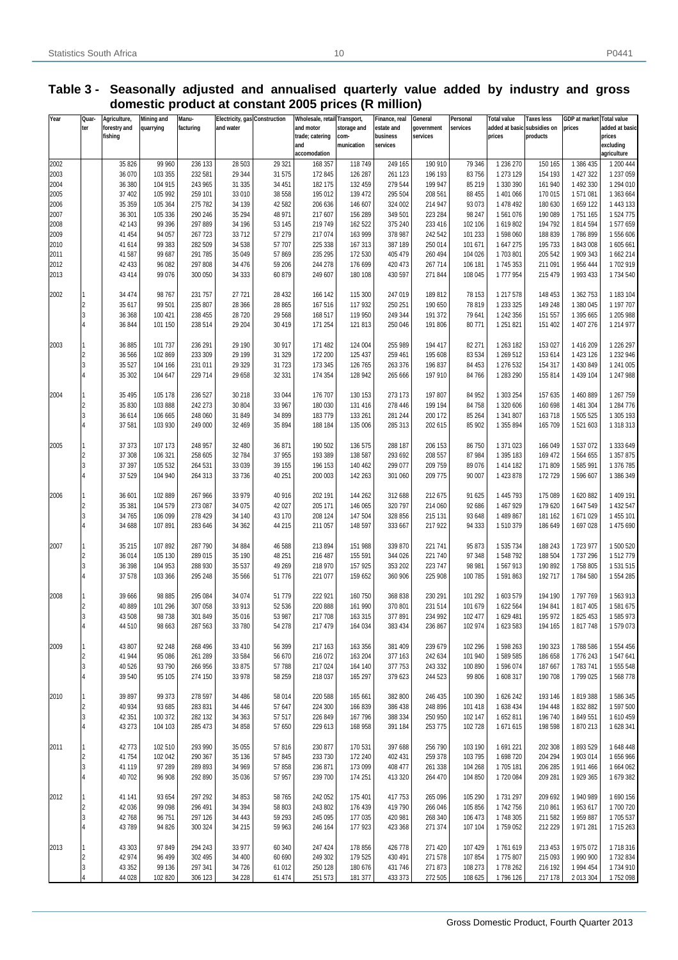#### **Table 3 - Seasonally adjusted and annualised quarterly value added by industry and gross domestic product at constant 2005 prices (R million)**

| Year         | Quar-                            | Agriculture,       | <b>Mining and</b>  | Manu-              | <b>Electricity, gas Construction</b> |                  | Wholesale, retail Transport, |                    | Finance, real        | General            | Personal          | <b>Total value</b>     | Taxes less         | GDP at market        | <b>Total value</b>     |
|--------------|----------------------------------|--------------------|--------------------|--------------------|--------------------------------------|------------------|------------------------------|--------------------|----------------------|--------------------|-------------------|------------------------|--------------------|----------------------|------------------------|
|              | ter                              | forestry and       | quarrying          | facturing          | and water                            |                  | and motor                    | storage and        | estate and           | government         | services          | added at basic         | subsidies on       | prices               | added at basic         |
|              |                                  | fishing            |                    |                    |                                      |                  | trade; catering<br>and       | com-<br>munication | business<br>services | services           |                   | prices                 | products           |                      | prices<br>excluding    |
|              |                                  |                    |                    |                    |                                      |                  | accomodation                 |                    |                      |                    |                   |                        |                    |                      | agriculture            |
| 2002         |                                  | 35 826             | 99 960             | 236 133            | 28 503                               | 29 321           | 168 357                      | 118749             | 249 165              | 190 910            | 79 346            | 1 236 270              | 150 165            | 1 386 435            | 1 200 444              |
| 2003         |                                  | 36 070             | 103 355            | 232 581            | 29 344                               | 31 575           | 172 845                      | 126 287            | 261 123              | 196 193            | 83 756            | 1 273 129              | 154 193            | 1 427 322            | 1 237 059              |
| 2004         |                                  | 36 380             | 104 915            | 243 965            | 31 335                               | 34 451           | 182 175                      | 132 459            | 279 544              | 199 947            | 85 219            | 1 330 390              | 161 940            | 1 492 330            | 1 294 010              |
| 2005         |                                  | 37 402             | 105 992            | 259 101            | 33 010                               | 38 558           | 195 012                      | 139 472            | 295 504              | 208 561            | 88 455            | 1 401 066              | 170 015            | 1571081              | 1 363 664              |
| 2006         |                                  | 35 35 9            | 105 364            | 275 782            | 34 139                               | 42 582           | 206 636                      | 146 607            | 324 002              | 214 947            | 93 073            | 1 478 492              | 180 630            | 1659 122             | 1 443 133              |
| 2007         |                                  | 36 301             | 105 336<br>99 39 6 | 290 246<br>297 889 | 35 294                               | 48 971<br>53 145 | 217 607                      | 156 289<br>162 522 | 349 501              | 223 284<br>233 416 | 98 247<br>102 106 | 1561076<br>1619802     | 190 089<br>194792  | 1751 165<br>1814594  | 1524775<br>1577659     |
| 2008<br>2009 |                                  | 42 143<br>41 454   | 94 057             | 267 723            | 34 196<br>33712                      | 57 279           | 219 749<br>217 074           | 163 999            | 375 240<br>378 987   | 242 542            | 101 233           | 1598060                | 188 839            | 1786899              | 1556606                |
| 2010         |                                  | 41 614             | 99 38 3            | 282 509            | 34 5 38                              | 57 707           | 225 338                      | 167 313            | 387 189              | 250 014            | 101 671           | 1647275                | 195 733            | 1843008              | 1605661                |
| 2011         |                                  | 41 587             | 99 687             | 291 785            | 35 049                               | 57 869           | 235 295                      | 172 530            | 405 479              | 260 494            | 104 026           | 1703801                | 205 542            | 1 909 343            | 1662 214               |
| 2012         |                                  | 42 433             | 96 082             | 297 808            | 34 476                               | 59 206           | 244 278                      | 176 699            | 420 473              | 267 714            | 106 181           | 1745 353               | 211 091            | 1 956 444            | 1702919                |
| 2013         |                                  | 43414              | 99 0 76            | 300 050            | 34 333                               | 60 879           | 249 607                      | 180 108            | 430 597              | 271 844            | 108 045           | 1777954                | 215 479            | 1 993 433            | 1734 540               |
|              |                                  |                    |                    |                    |                                      |                  |                              |                    |                      |                    |                   |                        |                    |                      |                        |
| 2002         | $\vert$ 1                        | 34 474             | 98767              | 231 757            | 27 721                               | 28 4 32          | 166 142                      | 115 300            | 247 019              | 189812             | 78 153            | 1 217 578              | 148 453            | 1 362 753            | 1 183 104              |
|              | $\overline{2}$                   | 35 617             | 99 501             | 235 807            | 28 3 66                              | 28 865           | 167 516                      | 117 932            | 250 251              | 190 650            | 78 819            | 1 233 325              | 149 248            | 1 380 045            | 1 197 707              |
|              | 3                                | 36 368             | 100 421            | 238 455            | 28 7 20                              | 29 5 68          | 168 517                      | 119 950            | 249 344              | 191 372            | 79 641            | 1 242 356              | 151 557            | 1 395 665            | 1 205 988              |
|              | $\overline{4}$                   | 36 844             | 101 150            | 238 514            | 29 204                               | 30 419           | 171 254                      | 121 813            | 250 046              | 191 806            | 80 771            | 1 251 821              | 151 402            | 1 407 276            | 1 214 977              |
| 2003         | 1                                | 36 885             | 101 737            | 236 291            | 29 190                               | 30 917           | 171 482                      | 124 004            | 255 989              | 194 417            | 82 271            | 1 263 182              | 153 027            | 1416209              | 1 226 297              |
|              | $\overline{2}$                   | 36 566             | 102 869            | 233 309            | 29 199                               | 31 329           | 172 200                      | 125 437            | 259 461              | 195 608            | 83 534            | 1 269 512              | 153 614            | 1 423 126            | 1 232 946              |
|              | $\overline{3}$                   | 35 5 27            | 104 166            | 231 011            | 29 3 29                              | 31 723           | 173 345                      | 126 765            | 263 376              | 196 837            | 84 453            | 1 276 532              | 154 317            | 1 430 849            | 1 241 005              |
|              | $\overline{4}$                   | 35 30 2            | 104 647            | 229 714            | 29 658                               | 32 331           | 174 354                      | 128 942            | 265 666              | 197 910            | 84 766            | 1 283 290              | 155 814            | 1 439 104            | 1 247 988              |
|              |                                  |                    |                    |                    |                                      |                  |                              |                    |                      |                    |                   |                        |                    |                      |                        |
| 2004         | 1                                | 35 4 95            | 105 178            | 236 527            | 30 218                               | 33 044           | 176 707                      | 130 153            | 273 173              | 197 807            | 84 952            | 1 303 254              | 157 635            | 1 460 889            | 1 267 759              |
|              | $\overline{2}$                   | 35 830             | 103 888            | 242 273            | 30 804                               | 33 967           | 180 030                      | 131 416            | 278 446              | 199 194            | 84 758            | 1 320 606              | 160 698            | 1 481 304            | 1 284 776              |
|              | $\overline{3}$                   | 36 614             | 106 665            | 248 060            | 31 849                               | 34 899           | 183779                       | 133 261            | 281 244              | 200 172            | 85 264            | 1 341 807              | 163718             | 1 505 525            | 1 305 193              |
|              | 4                                | 37 581             | 103 930            | 249 000            | 32 4 69                              | 35 894           | 188 184                      | 135 006            | 285 313              | 202 615            | 85 902            | 1 355 894              | 165 709            | 1521603              | 1 318 313              |
|              |                                  |                    |                    |                    |                                      |                  |                              |                    |                      |                    |                   |                        |                    |                      |                        |
| 2005         | $\overline{2}$                   | 37 37 3<br>37 30 8 | 107 173<br>106 321 | 248 957<br>258 605 | 32 480<br>32 784                     | 36 871<br>37 955 | 190 502<br>193 389           | 136 575<br>138 587 | 288 187<br>293 692   | 206 153<br>208 557 | 86 750<br>87 984  | 1 371 023<br>1 395 183 | 166 049<br>169 472 | 1 537 072<br>1564655 | 1 333 649<br>1 357 875 |
|              | $\overline{3}$                   | 37 397             | 105 532            | 264 531            | 33 0 39                              | 39 155           | 196 153                      | 140 462            | 299 077              | 209 759            | 89 076            | 1 414 182              | 171 809            | 1585991              | 1 376 785              |
|              | $\overline{4}$                   | 37 529             | 104 940            | 264 313            | 33 7 36                              | 40 251           | 200 003                      | 142 263            | 301 060              | 209 775            | 90 007            | 1 423 878              | 172729             | 1596607              | 1 386 349              |
|              |                                  |                    |                    |                    |                                      |                  |                              |                    |                      |                    |                   |                        |                    |                      |                        |
| 2006         | 1                                | 36 601             | 102 889            | 267 966            | 33 979                               | 40 916           | 202 191                      | 144 262            | 312 688              | 212 675            | 91 625            | 1 445 793              | 175 089            | 1620882              | 1 409 191              |
|              | $\overline{2}$                   | 35 381             | 104 579            | 273 087            | 34 0 75                              | 42 027           | 205 171                      | 146 065            | 320 797              | 214 060            | 92 686            | 1 467 929              | 179 620            | 1647549              | 1 432 547              |
|              | $\overline{3}$                   | 34765              | 106 099            | 278 429            | 34 140                               | 43 170           | 208 124                      | 147 504            | 328 856              | 215 131            | 93 648            | 1489867                | 181 162            | 1671029              | 1 455 101              |
|              | $\overline{4}$                   | 34 688             | 107 891            | 283 646            | 34 362                               | 44 215           | 211 057                      | 148 597            | 333 667              | 217 922            | 94 333            | 1510379                | 186 649            | 1697028              | 1475690                |
|              |                                  |                    |                    |                    |                                      |                  |                              |                    |                      |                    |                   |                        |                    |                      |                        |
| 2007         | 1                                | 35 215             | 107 892            | 287 790            | 34 884                               | 46 588           | 213 894                      | 151 988            | 339 870              | 221 741            | 95 873            | 1 535 734              | 188 243            | 1723 977             | 1500520                |
|              | $\overline{2}$<br>$\overline{3}$ | 36 014<br>36 398   | 105 130<br>104 953 | 289 015<br>288 930 | 35 190                               | 48 251<br>49 269 | 216 487<br>218 970           | 155 591<br>157 925 | 344 026<br>353 202   | 221 740<br>223 747 | 97 348<br>98 981  | 1548792<br>1567913     | 188 504<br>190 892 | 1737296<br>1758 805  | 1512779<br>1531515     |
|              | $\overline{4}$                   | 37 578             | 103 366            | 295 248            | 35 537<br>35 566                     | 51 776           | 221 077                      | 159 652            | 360 906              | 225 908            | 100 785           | 1591863                | 192717             | 1784 580             | 1554285                |
|              |                                  |                    |                    |                    |                                      |                  |                              |                    |                      |                    |                   |                        |                    |                      |                        |
| 2008         |                                  | 39 666             | 98 8 85            | 295 084            | 34 074                               | 51 779           | 222 921                      | 160 750            | 368 838              | 230 291            | 101 292           | 1 603 579              | 194 190            | 1797769              | 1563913                |
|              | $\overline{2}$                   | 40 889             | 101 296            | 307 058            | 33 913                               | 52 536           | 220 888                      | 161 990            | 370 801              | 231 514            | 101 679           | 1 622 564              | 194 841            | 1817405              | 1581675                |
|              | $\overline{3}$                   | 43 508             | 98738              | 301 849            | 35 016                               | 53 987           | 217 708                      | 163 315            | 377891               | 234 992            | 102 477           | 1629 481               | 195 972            | 1825 453             | 1585973                |
|              | 14                               | 44 510             | 98 663             | 287 563            | 33 780                               | 54 278           | 217 479                      | 164 034            | 383 434              | 236 867            | 102 974           | 1 623 583              | 194 165            | 1817748              | 1579073                |
|              |                                  |                    |                    |                    |                                      |                  |                              |                    |                      |                    |                   |                        |                    |                      |                        |
| 2009         | 1                                | 43 807             | 92 248             | 268 496            | 33 410                               | 56 399           | 217 163                      | 163 356            | 381 409              | 239 679            | 102 296           | 1598 263               | 190 323            | 1788 586             | 1 554 456              |
|              | $\overline{2}$                   | 41 944             | 95 086             | 261 289            | 33 584                               | 56 670           | 216 072                      | 163 204            | 377 163              | 242 634            | 101 940           | 1589585                | 186 658            | 1776 243             | 1547641                |
|              | $\overline{3}$<br>$\overline{4}$ | 40 5 26            | 93790<br>95 105    | 266 956<br>274 150 | 33 875<br>33 978                     | 57 788<br>58 259 | 217 024<br>218 037           | 164 140<br>165 297 | 377 753<br>379 623   | 243 332<br>244 523 | 100 890<br>99 806 | 1596074<br>1 608 317   | 187 667<br>190 708 | 1783741<br>1799 025  | 1 555 548<br>1568778   |
|              |                                  | 39 540             |                    |                    |                                      |                  |                              |                    |                      |                    |                   |                        |                    |                      |                        |
| 2010         | 1                                | 39 897             | 99 37 3            | 278 597            | 34 486                               | 58 014           | 220 588                      | 165 661            | 382 800              | 246 435            | 100 390           | 1 626 242              | 193 146            | 1819388              | 1586345                |
|              | $\overline{2}$                   | 40 934             | 93 685             | 283 831            | 34 4 4 6                             | 57 647           | 224 300                      | 166 839            | 386 438              | 248 896            | 101 418           | 1 638 434              | 194 448            | 1832882              | 1 597 500              |
|              | $\overline{3}$                   | 42 351             | 100 372            | 282 132            | 34 36 3                              | 57 517           | 226 849                      | 167 796            | 388 334              | 250 950            | 102 147           | 1652811                | 196740             | 1849551              | 1610459                |
|              | $\overline{4}$                   | 43 273             | 104 103            | 285 473            | 34 858                               | 57 650           | 229 613                      | 168 958            | 391 184              | 253 775            | 102 728           | 1671615                | 198 598            | 1870213              | 1628 341               |
|              |                                  |                    |                    |                    |                                      |                  |                              |                    |                      |                    |                   |                        |                    |                      |                        |
| 2011         | 1                                | 42773              | 102 510            | 293 990            | 35 055                               | 57 816           | 230 877                      | 170 531            | 397 688              | 256 790            | 103 190           | 1691221                | 202 308            | 1893529              | 1648 448               |
|              | $\overline{2}$                   | 41754              | 102 042            | 290 367            | 35 136                               | 57 845           | 233 730                      | 172 240            | 402 431              | 259 378            | 103 795           | 1698720                | 204 294            | 1 903 014            | 1656966                |
|              | $\overline{3}$                   | 41 119             | 97 289             | 289 893            | 34 969                               | 57 858           | 236 871                      | 173 099            | 408 477              | 261 338            | 104 268           | 1705 181               | 206 285            | 1 911 466            | 1 664 062              |
|              | $\overline{4}$                   | 40702              | 96 908             | 292 890            | 35 0 36                              | 57 957           | 239 700                      | 174 251            | 413 320              | 264 470            | 104 850           | 1720 084               | 209 281            | 1 929 365            | 1679382                |
| 2012         | 1                                | 41 141             | 93 654             | 297 292            | 34 853                               | 58 765           | 242 052                      | 175 401            | 417753               | 265 096            | 105 290           | 1731297                | 209 692            | 1 940 989            | 1690 156               |
|              | $\overline{2}$                   | 42 036             | 99 098             | 296 491            | 34 394                               | 58 803           | 243 802                      | 176 439            | 419790               | 266 046            | 105 856           | 1742756                | 210 861            | 1 953 617            | 1700720                |
|              | $\overline{3}$                   | 42768              | 96751              | 297 126            | 34 4 4 3                             | 59 29 3          | 245 095                      | 177 035            | 420 981              | 268 340            | 106 473           | 1748 305               | 211 582            | 1 959 887            | 1705 537               |
|              | $\overline{4}$                   | 43789              | 94 826             | 300 324            | 34 215                               | 59 963           | 246 164                      | 177 923            | 423 368              | 271 374            | 107 104           | 1759 052               | 212 229            | 1 971 281            | 1715 263               |
|              |                                  |                    |                    |                    |                                      |                  |                              |                    |                      |                    |                   |                        |                    |                      |                        |
| 2013         | 1                                | 43 30 3            | 97849              | 294 243            | 33 977                               | 60 340           | 247 424                      | 178 856            | 426 778              | 271 420            | 107 429           | 1761619                | 213 453            | 1 975 072            | 1718316                |
|              | $\overline{2}$                   | 42 974             | 96 499             | 302 495            | 34 400                               | 60 690           | 249 302                      | 179 525            | 430 491              | 271 578            | 107 854           | 1775807                | 215 093            | 1 990 900            | 1732834                |
|              | $\overline{3}$                   | 43 352             | 99 136             | 297 341            | 34 7 26                              | 61 012           | 250 128                      | 180 676            | 431746               | 271 873            | 108 273           | 1778 262               | 216 192            | 1 994 454            | 1734 910               |
|              | $\overline{4}$                   | 44 0 28            | 102 820            | 306 123            | 34 228                               | 61 474           | 251 573                      | 181 377            | 433 373              | 272 505            | 108 625           | 1796 126               | 217 178            | 2 013 304            | 1752098                |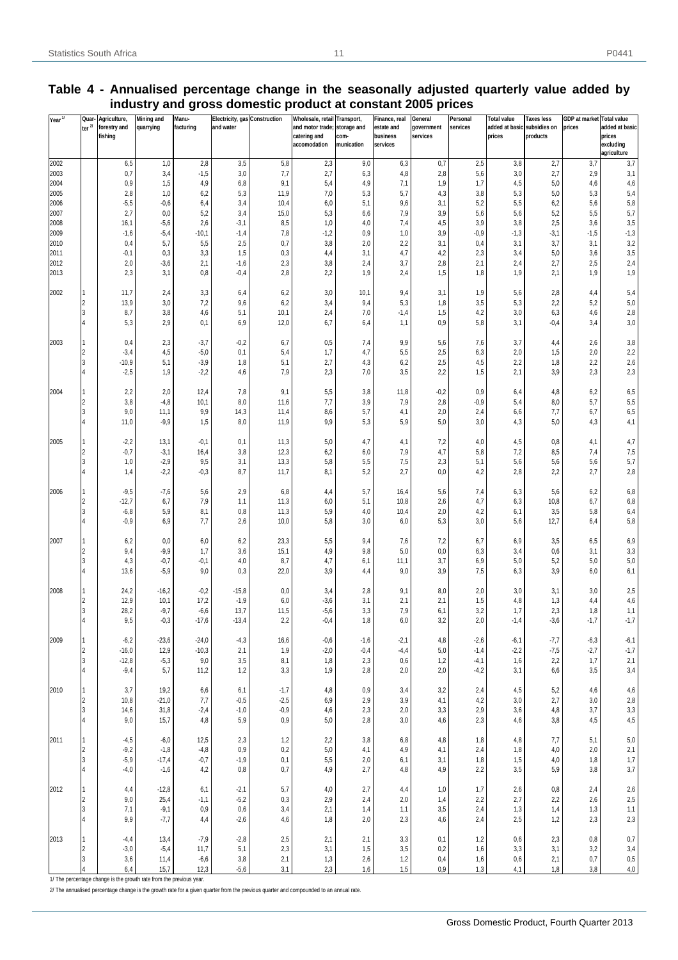| Year'' | Quar<br>ter $\frac{2}{l}$ | Agriculture,<br>forestry and<br>fishing | <b>Mining and</b><br>quarrying | Manu-<br>facturing | Electricity, gas Construction<br>and water |            | Wholesale, retail<br>and motor trade;<br>catering and<br>accomodation | Transport,<br>storage and<br>com-<br>munication | Finance, real<br>estate and<br>business<br>services | General<br>government<br>services | Personal<br>services | <b>Total value</b><br>added at basic subsidies on<br>prices | <b>Taxes less</b><br>products | GDP at market Total value<br>prices | added at basic<br>prices<br>excluding<br>agriculture |
|--------|---------------------------|-----------------------------------------|--------------------------------|--------------------|--------------------------------------------|------------|-----------------------------------------------------------------------|-------------------------------------------------|-----------------------------------------------------|-----------------------------------|----------------------|-------------------------------------------------------------|-------------------------------|-------------------------------------|------------------------------------------------------|
| 2002   |                           | 6,5                                     | 1,0                            | 2,8                | 3,5                                        | 5,8        | 2,3                                                                   | 9,0                                             | 6,3                                                 | 0,7                               | 2,5                  | 3,8                                                         | 2,7                           | 3,7                                 | 3,7                                                  |
| 2003   |                           | 0,7                                     | 3,4                            | $-1,5$             | 3,0                                        | 7,7        | 2,7                                                                   | 6,3                                             | 4,8                                                 | 2,8                               | 5,6                  | 3,0                                                         | 2,7                           | 2,9                                 | 3,1                                                  |
| 2004   |                           | $_{0,9}$                                | 1,5                            | 4,9                | 6,8                                        | 9,1        | 5,4                                                                   | 4,9                                             | 7,1                                                 | 1,9                               | 1,7                  | 4,5                                                         | 5,0                           | 4,6                                 | 4,6                                                  |
| 2005   |                           | 2,8                                     | 1,0                            | 6,2                | 5,3                                        | 11,9       | 7,0                                                                   | 5,3                                             | 5,7                                                 | 4,3                               | 3,8                  | 5,3                                                         | 5,0                           | 5,3                                 | 5,4                                                  |
| 2006   |                           | $-5,5$                                  | $-0,6$                         | 6,4                | 3,4                                        | 10,4       | 6,0                                                                   | 5,1                                             | 9,6                                                 | 3,1                               | 5,2                  | 5,5                                                         | 6,2                           | 5,6                                 | 5,8                                                  |
| 2007   |                           | 2,7                                     | 0,0                            | 5,2                | 3,4                                        | 15,0       | 5,3                                                                   | 6,6                                             | 7,9                                                 | 3,9                               | 5,6                  | 5,6                                                         | 5,2                           | 5,5                                 | 5,7                                                  |
| 2008   |                           | 16,1                                    | $-5,6$                         | 2,6                | $-3,1$                                     | 8,5        | 1,0                                                                   | 4,0                                             | 7,4                                                 | 4,5                               | 3,9                  | 3,8                                                         | 2,5                           | 3,6                                 | 3,5                                                  |
| 2009   |                           | $-1,6$                                  | $-5,4$                         | $-10,1$            | $-1,4$                                     | 7,8        | $-1,2$                                                                | 0,9                                             | 1,0                                                 | 3,9                               | $-0,9$               | $-1,3$                                                      | $-3,1$                        | $-1,5$                              | $-1,3$                                               |
| 2010   |                           | 0,4                                     | 5,7                            | 5,5                | 2,5                                        | 0,7        | 3,8                                                                   | 2,0                                             | 2,2                                                 | 3,1                               | 0,4                  | 3,1                                                         | 3,7                           | 3,1                                 | 3,2                                                  |
| 2011   |                           | $-0,1$                                  | 0,3                            | 3,3                | 1,5                                        | 0,3        | 4,4                                                                   | 3,1                                             | 4,7                                                 | 4,2                               | 2,3                  | 3,4                                                         | 5,0                           | 3,6                                 | 3,5                                                  |
| 2012   |                           | 2,0                                     | $-3,6$                         | 2,1                | $-1,6$                                     | 2,3        | 3,8                                                                   | 2,4                                             | 3,7                                                 | 2,8                               | 2,1                  | 2,4                                                         | 2,7                           | 2,5                                 | 2,4                                                  |
| 2013   |                           | 2,3                                     | 3,1                            | 0,8                | $-0,4$                                     | 2,8        | 2,2                                                                   | 1,9                                             | 2,4                                                 | 1,5                               | 1,8                  | 1,9                                                         | 2,1                           | 1,9                                 | 1,9                                                  |
| 2002   |                           | 11,7                                    | 2,4                            | 3,3                | 6,4                                        | 6,2        | 3,0                                                                   | 10,1                                            | 9,4                                                 | 3,1                               | 1,9                  | 5,6                                                         | 2,8                           | 4,4                                 | 5,4                                                  |
|        | $\overline{2}$            | 13,9                                    | 3,0                            | 7,2                | 9,6                                        | 6,2        | 3,4                                                                   | 9,4                                             | 5,3                                                 | 1,8                               | 3,5                  | 5,3                                                         | 2,2                           | 5,2                                 | $5,0$                                                |
|        | 3                         | 8,7                                     | 3,8                            | 4,6                | 5,1                                        | 10,1       | 2,4                                                                   | 7,0                                             | $-1,4$                                              | 1,5                               | 4,2                  | 3,0                                                         | 6,3                           | 4,6                                 | 2,8                                                  |
|        | $\overline{4}$            | 5,3                                     | 2,9                            | 0,1                | 6,9                                        | 12,0       | 6,7                                                                   | 6,4                                             | 1,1                                                 | 0,9                               | 5,8                  | 3,1                                                         | $-0,4$                        | 3,4                                 | 3,0                                                  |
| 2003   |                           | 0,4                                     | 2,3                            | $-3,7$             | $-0,2$                                     | 6,7        | 0,5                                                                   | 7,4                                             | 9,9                                                 | 5,6                               | 7,6                  | 3,7                                                         | 4,4                           | 2,6                                 | $3,8$                                                |
|        | $\overline{c}$            | $-3,4$                                  | 4,5                            | $-5,0$             | 0,1                                        | 5,4        | 1,7                                                                   | 4,7                                             | 5,5                                                 | 2,5                               | 6,3                  | 2,0                                                         | 1,5                           | 2,0                                 | 2,2                                                  |
|        | I3                        | $-10,9$                                 | 5,1                            | $-3,9$             | 1,8                                        | 5,1        | 2,7                                                                   | 4,3                                             | 6,2                                                 | 2,5                               | 4,5                  | 2,2                                                         | 1,8                           | 2,2                                 | $_{\rm 2,6}$                                         |
|        | 4                         | $-2,5$                                  | 1,9                            | $-2,2$             | 4,6                                        | 7,9        | 2,3                                                                   | 7,0                                             | 3,5                                                 | 2,2                               | 1,5                  | 2,1                                                         | 3,9                           | 2,3                                 | 2,3                                                  |
| 2004   |                           | 2,2                                     | 2,0                            | 12,4               | 7,8                                        | 9,1        | 5,5                                                                   | 3,8                                             | 11,8                                                | $-0,2$                            | 0,9                  | 6,4                                                         | 4,8                           | 6,2                                 | 6,5                                                  |
|        | $\overline{c}$            | 3,8                                     | $-4,8$                         | 10,1               | 8,0                                        | 11,6       | 7,7                                                                   | 3,9                                             | 7,9                                                 | 2,8                               | $-0,9$               | 5,4                                                         | 8,0                           | 5,7                                 | 5,5                                                  |
|        | 3                         | 9,0                                     | 11,1                           | 9,9                | 14,3                                       | 11,4       | 8,6                                                                   | 5,7                                             | 4,1                                                 | 2,0                               | 2,4                  | 6,6                                                         | 7,7                           | 6,7                                 | 6,5                                                  |
|        | $\overline{4}$            | 11,0                                    | $-9,9$                         | 1,5                | 8,0                                        | 11,9       | 9,9                                                                   | 5,3                                             | 5,9                                                 | 5,0                               | 3,0                  | 4,3                                                         | 5,0                           | 4,3                                 | 4,1                                                  |
|        |                           |                                         |                                |                    |                                            |            |                                                                       |                                                 |                                                     |                                   |                      |                                                             |                               |                                     |                                                      |
| 2005   |                           | $-2,2$                                  | 13,1                           | $-0,1$             | 0,1                                        | 11,3       | 5,0                                                                   | 4,7                                             | 4,1                                                 | 7,2                               | 4,0                  | 4,5                                                         | 0,8                           | 4,1                                 | 4,7                                                  |
|        | $\overline{c}$            | $-0,7$                                  | $-3,1$                         | 16,4               | 3,8                                        | 12,3       | 6,2                                                                   | 6,0                                             | 7,9                                                 | 4,7                               | 5,8                  | 7,2                                                         | 8,5                           | 7,4                                 | $7,\!5$                                              |
|        | 3                         | 1,0                                     | $-2,9$                         | 9,5                | 3,1                                        | 13,3       | 5,8                                                                   | 5,5                                             | 7,5                                                 | 2,3                               | 5,1                  | 5,6                                                         | 5,6                           | 5,6                                 | 5,7                                                  |
|        |                           | 1,4                                     | $-2,2$                         | $-0,3$             | 8,7                                        | 11,7       | 8,1                                                                   | 5,2                                             | 2,7                                                 | 0,0                               | 4,2                  | 2,8                                                         | 2,2                           | 2,7                                 | $_{2,8}$                                             |
|        |                           |                                         |                                |                    |                                            |            |                                                                       |                                                 |                                                     |                                   |                      |                                                             |                               |                                     |                                                      |
| 2006   |                           | $-9,5$                                  | $-7,6$                         | 5,6                | 2,9                                        | 6,8        | 4,4                                                                   | 5,7                                             | 16,4                                                | 5,6                               | 7,4                  | 6,3                                                         | 5,6                           | 6,2                                 | 6,8                                                  |
|        | $\overline{2}$            | $-12,7$                                 | 6,7                            | 7,9                | 1,1                                        | 11,3       | 6,0                                                                   | 5,1                                             | 10,8                                                | 2,6                               | 4,7                  | 6,3                                                         | 10,8                          | 6,7                                 | 6,8                                                  |
|        | 3                         | $-6,8$                                  | 5,9                            | 8,1                | 0,8                                        | 11,3       | 5,9                                                                   | 4,0                                             | 10,4                                                | 2,0                               | 4,2                  | 6,1                                                         | 3,5                           | 5,8                                 | 6,4                                                  |
|        | 4                         | $-0,9$                                  | 6,9                            | 7,7                | 2,6                                        | 10,0       | 5,8                                                                   | 3,0                                             | 6,0                                                 | 5,3                               | 3,0                  | 5,6                                                         | 12,7                          | 6,4                                 | 5,8                                                  |
|        |                           |                                         |                                |                    |                                            |            |                                                                       |                                                 |                                                     |                                   |                      |                                                             |                               |                                     |                                                      |
| 2007   |                           | 6,2                                     | 0,0                            | 6,0                | 6,2                                        | 23,3       | 5,5                                                                   | 9,4                                             | 7,6                                                 | 7,2                               | 6,7                  | 6,9                                                         | 3,5                           | 6,5                                 | 6,9                                                  |
|        | $\overline{c}$            | 9,4                                     | $-9,9$                         | 1,7                | 3,6                                        | 15,1       | 4,9                                                                   | 9,8                                             | 5,0                                                 | 0,0                               | 6,3                  | 3,4                                                         | 0,6                           | 3,1                                 | $_{\rm 3,3}$                                         |
|        | I3<br>$\overline{4}$      | 4,3                                     | $-0,7$                         | $-0,1$             | 4,0                                        | 8,7        | 4,7                                                                   | 6,1                                             | 11,1                                                | 3,7                               | 6,9                  | 5,0                                                         | 5,2                           | 5,0                                 | $5,0$                                                |
|        |                           | 13,6                                    | $-5,9$                         | 9,0                | 0,3                                        | 22,0       | 3,9                                                                   | 4,4                                             | 9,0                                                 | 3,9                               | 7,5                  | 6,3                                                         | 3,9                           | 6,0                                 | 6,1                                                  |
| 2008   |                           |                                         |                                | $-0,2$             |                                            |            |                                                                       |                                                 |                                                     |                                   |                      |                                                             |                               |                                     |                                                      |
|        | $\overline{2}$            | 24,2<br>12,9                            | $-16,2$<br>10,1                | 17,2               | $-15,8$<br>$-1,9$                          | 0,0<br>6,0 | 3,4<br>$-3,6$                                                         | 2,8<br>3,1                                      | 9,1<br>2,1                                          | 8,0<br>2,1                        | 2,0<br>1,5           | 3,0<br>4,8                                                  | 3,1<br>1,3                    | 3,0<br>4,4                          | 2,5<br>$_{4,6}$                                      |
|        | 3                         | 28,2                                    | $-9,7$                         | $-6,6$             | 13,7                                       | 11,5       | $-5,6$                                                                | 3,3                                             | 7,9                                                 | 6,1                               | 3,2                  | 1,7                                                         | 2,3                           | 1,8                                 | 1,1                                                  |
|        | l4                        | 9,5                                     | $-0.3$                         | $-17,6$            | $-13,4$                                    | 2,2        | $-0.4$                                                                | 1,8                                             | 6,0                                                 | 3,2                               | 2,0                  | $-1,4$                                                      | $-3,6$                        | $-1,7$                              | $-1,7$                                               |
|        |                           |                                         |                                |                    |                                            |            |                                                                       |                                                 |                                                     |                                   |                      |                                                             |                               |                                     |                                                      |
| 2009   | 1                         | $-6,2$                                  | $-23,6$                        | $-24,0$            | $-4,3$                                     | 16,6       | $-0,6$                                                                | $-1,6$                                          | $-2,1$                                              | 4,8                               | $-2,6$               | $-6,1$                                                      | $-7,7$                        | $-6,3$                              | $-6,1$                                               |
|        | 2                         | $-16,0$                                 | 12,9                           | $-10,3$            | 2,1                                        | 1,9        | $-2,0$                                                                | $-0,4$                                          | $-4,4$                                              | $5{,}0$                           | $-1,4$               | $-2,2$                                                      | $-7,5$                        | $-2,7$                              | $-1,7$                                               |
|        | 3                         | $-12,8$                                 | $-5,3$                         | 9,0                | 3,5                                        | 8,1        | 1,8                                                                   | 2,3                                             | 0,6                                                 | 1,2                               | $-4,1$               | 1,6                                                         | 2,2                           | 1,7                                 | 2,1                                                  |
|        |                           | $-9,4$                                  | 5,7                            | 11,2               | 1,2                                        | 3,3        | 1,9                                                                   | 2,8                                             | 2,0                                                 | 2,0                               | $-4,2$               | 3,1                                                         | 6,6                           | 3,5                                 | $3,4$                                                |
|        |                           |                                         |                                |                    |                                            |            |                                                                       |                                                 |                                                     |                                   |                      |                                                             |                               |                                     |                                                      |
| 2010   | 1                         | 3,7                                     | 19,2                           | 6,6                | 6,1                                        | $-1,7$     | 4,8                                                                   | 0,9                                             | 3,4                                                 | 3,2                               | 2,4                  | 4,5                                                         | 5,2                           | 4,6                                 | 4,6                                                  |
|        | $\vert$ 2                 | 10,8                                    | $-21,0$                        | 7,7                | $-0,5$                                     | $-2,5$     | 6,9                                                                   | 2,9                                             | 3,9                                                 | 4,1                               | 4,2                  | 3,0                                                         | 2,7                           | $3,0$                               | $_{2,8}$                                             |
|        | 3                         | 14,6                                    | 31,8                           | $-2,4$             | $-1,0$                                     | $-0,9$     | 4,6                                                                   | 2,3                                             | 2,0                                                 | 3,3                               | 2,9                  | 3,6                                                         | 4,8                           | 3,7                                 | $_{\rm 3,3}$                                         |
|        | $\overline{4}$            | 9,0                                     | 15,7                           | 4,8                | 5,9                                        | $_{0,9}$   | 5,0                                                                   | 2,8                                             | 3,0                                                 | 4,6                               | 2,3                  | 4,6                                                         | 3,8                           | 4,5                                 | $4,\!5$                                              |
|        |                           |                                         |                                |                    |                                            |            |                                                                       |                                                 |                                                     |                                   |                      |                                                             |                               |                                     |                                                      |
| 2011   |                           | $-4,5$                                  | $-6,0$                         | 12,5               | 2,3                                        | 1,2        | 2,2                                                                   | 3,8                                             | 6,8                                                 | 4,8                               | 1,8                  | 4,8                                                         | 7,7                           | 5,1                                 | $5,0$                                                |
|        | $\frac{2}{3}$             | $-9,2$                                  | $-1,8$                         | $-4,8$             | 0,9                                        | 0,2        | 5,0                                                                   | 4,1                                             | 4,9                                                 | 4,1                               | 2,4                  | 1,8                                                         | 4,0                           | 2,0                                 | 2,1                                                  |
|        |                           | $-5,9$                                  | $-17,4$                        | $-0,7$             | $-1,9$                                     | 0,1        | $5,5$                                                                 | 2,0                                             | 6,1                                                 | 3,1                               | 1,8                  | 1,5                                                         | 4,0                           | 1,8                                 | $1,\!7$                                              |
|        | $\overline{4}$            | -4,0                                    | $-1,6$                         | 4,2                | 0,8                                        | 0,7        | 4,9                                                                   | 2,7                                             | 4,8                                                 | 4,9                               | 2,2                  | 3,5                                                         | 5,9                           | 3,8                                 | 3,7                                                  |
|        |                           |                                         |                                |                    |                                            |            |                                                                       |                                                 |                                                     |                                   |                      |                                                             |                               |                                     |                                                      |
| 2012   |                           | 4,4                                     | $-12,8$                        | 6,1                | $-2,1$                                     | 5,7        | 4,0                                                                   | 2,7                                             | $4,4$                                               | 1,0                               | 1,7                  | 2,6                                                         | 0,8                           | 2,4                                 | 2,6                                                  |
|        | $\frac{2}{3}$             | 9,0                                     | 25,4                           | $-1,1$             | $-5,2$                                     | 0,3        | 2,9                                                                   | 2,4                                             | 2,0                                                 | 1,4                               | 2,2                  | 2,7                                                         | 2,2                           | 2,6                                 | $2,\!5$                                              |
|        | $\overline{4}$            | 7,1<br>9,9                              | $-9,1$<br>$-7,7$               | 0,9<br>4,4         | 0,6<br>$-2,6$                              | 3,4<br>4,6 | 2,1<br>1,8                                                            | 1,4<br>2,0                                      | 1,1<br>2,3                                          | 3,5<br>4,6                        | 2,4<br>2,4           | 1,3<br>2,5                                                  | 1,4<br>1,2                    | 1,3<br>2,3                          | 1,1<br>2,3                                           |
|        |                           |                                         |                                |                    |                                            |            |                                                                       |                                                 |                                                     |                                   |                      |                                                             |                               |                                     |                                                      |
| 2013   |                           | -4,4                                    | 13,4                           | $-7,9$             | $-2,8$                                     | 2,5        | 2,1                                                                   | 2,1                                             | 3,3                                                 | 0,1                               | 1,2                  | 0,6                                                         | 2,3                           | 0,8                                 | 0,7                                                  |
|        |                           | $-3,0$                                  | $-5,4$                         | 11,7               | 5,1                                        | 2,3        | 3,1                                                                   | 1,5                                             | 3,5                                                 | 0,2                               | 1,6                  | 3,3                                                         | 3,1                           | 3,2                                 | $_{\rm 3,4}$                                         |
|        | $\frac{2}{3}$             | 3,6                                     | 11,4                           | $-6,6$             | 3,8                                        | 2,1        | 1,3                                                                   | 2,6                                             | 1,2                                                 | 0,4                               | 1,6                  | 0,6                                                         | 2,1                           | $0,\!7$                             | $_{\rm 0,5}$                                         |
|        |                           | 6,4                                     | 15,7                           | 12,3               | $-5,6$                                     | 3,1        | 2,3                                                                   | 1,6                                             | 1,5                                                 | 0,9                               | 1,3                  | 4,1                                                         | 1,8                           | 3,8                                 | 4,0                                                  |

## **Table 4 - Annualised percentage change in the seasonally adjusted quarterly value added by industry and gross domestic product at constant 2005 prices**

1/ The percentage change is the growth rate from the previous year.

2/ The annualised percentage change is the growth rate for a given quarter from the previous quarter and compounded to an annual rate.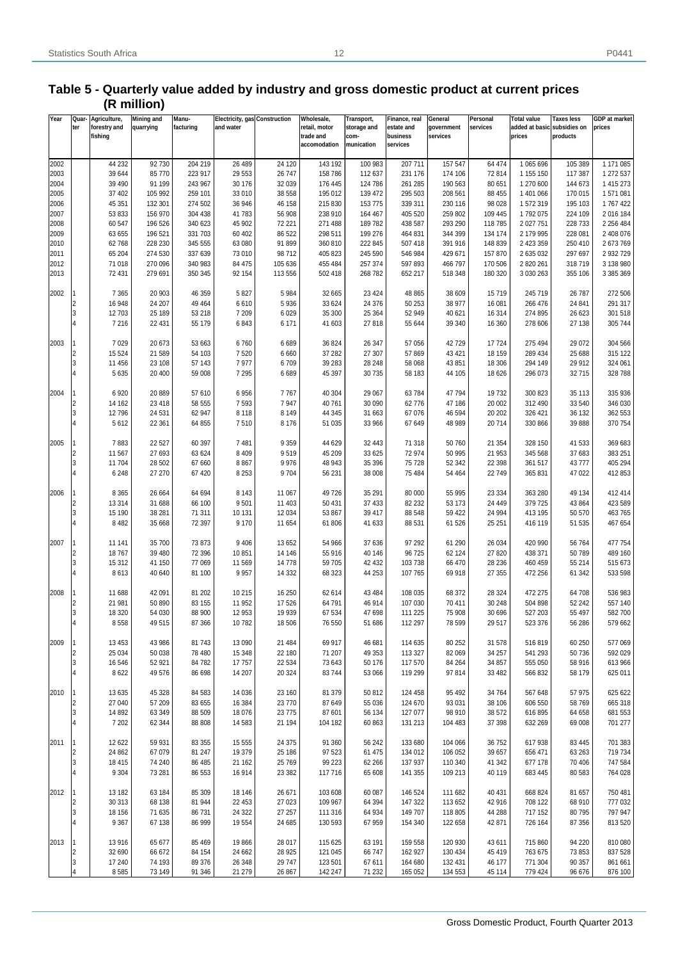#### **Table 5 - Quarterly value added by industry and gross domestic product at current prices (R million)**

| Year         | Quar           | Agriculture,     | <b>Mining and</b> | Manu-              | Electricity, gas Construction |                  | Wholesale,         | Transport,         | Finance, real      | General            | Personal         | <b>Total value</b>          | <b>Taxes less</b>  | <b>GDP</b> at market   |
|--------------|----------------|------------------|-------------------|--------------------|-------------------------------|------------------|--------------------|--------------------|--------------------|--------------------|------------------|-----------------------------|--------------------|------------------------|
|              | ter            | forestry and     | quarrying         | facturing          | and water                     |                  | retail, motor      | storage and        | estate and         | government         | services         | added at basic subsidies on |                    | prices                 |
|              |                | fishing          |                   |                    |                               |                  | trade and          | com-               | business           | services           |                  | prices                      | products           |                        |
|              |                |                  |                   |                    |                               |                  | accomodation       | munication         | services           |                    |                  |                             |                    |                        |
|              |                | 44 232           | 92730             | 204 219            | 26 489                        | 24 1 20          | 143 192            | 100 983            | 207 711            | 157 547            | 64 474           |                             | 105 389            | 1 171 085              |
| 2002         |                |                  |                   |                    |                               |                  |                    |                    |                    |                    |                  | 1 065 696                   |                    |                        |
| 2003<br>2004 |                | 39 644<br>39 490 | 85 770<br>91 199  | 223 917<br>243 967 | 29 5 53<br>30 176             | 26 747<br>32 039 | 158 786<br>176 445 | 112 637<br>124 786 | 231 176<br>261 285 | 174 106<br>190 563 | 72 814<br>80 651 | 1 155 150<br>1 270 600      | 117 387<br>144 673 | 1 272 537<br>1 415 273 |
|              |                |                  |                   |                    |                               |                  |                    |                    |                    |                    |                  |                             |                    |                        |
| 2005         |                | 37 402           | 105 992           | 259 101            | 33 010                        | 38 558           | 195 012            | 139 472            | 295 503            | 208 561            | 88 455           | 1 401 066                   | 170 015            | 1571081                |
| 2006         |                | 45 351           | 132 301           | 274 502            | 36 946                        | 46 158           | 215 830            | 153 775            | 339 311            | 230 116            | 98 0 28          | 1572319                     | 195 103            | 1767422                |
| 2007         |                | 53 833           | 156 970           | 304 438            | 41783                         | 56 908           | 238 910            | 164 467            | 405 520            | 259 802            | 109 445          | 1792075                     | 224 109            | 2016 184               |
| 2008         |                | 60 547           | 196 526           | 340 623            | 45 902                        | 72 221           | 271 488            | 189782             | 438 587            | 293 290            | 118 785          | 2 027 751                   | 228 733            | 2 256 484              |
| 2009         |                | 63 655           | 196 521           | 331 703            | 60 40 2                       | 86 522           | 298 511            | 199 276            | 464 831            | 344 399            | 134 174          | 2 179 995                   | 228 081            | 2 408 076              |
| 2010         |                | 62768            | 228 230           | 345 555            | 63 080                        | 91 899           | 360 810            | 222 845            | 507 418            | 391 916            | 148 839          | 2 423 359                   | 250 410            | 2673769                |
| 2011         |                | 65 204           | 274 530           | 337 639            | 73 010                        | 98712            | 405 823            | 245 590            | 546 984            | 429 671            | 157 870          | 2 635 032                   | 297 697            | 2 932 729              |
| 2012         |                | 71 018           | 270 096           | 340 983            | 84 475                        | 105 636          | 455 484            | 257 374            | 597 893            | 466 797            | 170 506          | 2 820 261                   | 318719             | 3 138 980              |
| 2013         |                | 72 431           | 279 691           | 350 345            | 92 154                        | 113 556          | 502 418            | 268 782            | 652 217            | 518 348            | 180 320          | 3 0 3 0 2 6 3               | 355 106            | 3 385 369              |
|              |                |                  |                   |                    |                               |                  |                    |                    |                    |                    |                  |                             |                    |                        |
| 2002         |                | 7 3 6 5          | 20 903            | 46 359             | 5 8 2 7                       | 5984             | 32 665             | 23 4 24            | 48 865             | 38 609             | 15719            | 245 719                     | 26 787             | 272 506                |
|              | l2             | 16 948           | 24 207            | 49 4 64            | 6610                          | 5936             | 33 624             | 24 376             | 50 253             | 38 977             | 16 081           | 266 476                     | 24 841             | 291 317                |
|              | l3             | 12 703           | 25 189            | 53 218             | 7 2 0 9                       | 6029             | 35 300             | 25 364             | 52 949             | 40 621             | 16 314           | 274 895                     | 26 623             | 301 518                |
|              | $\overline{4}$ | 7 2 1 6          | 22 431            | 55 179             | 6843                          | 6 171            | 41 603             | 27818              | 55 644             | 39 340             | 16 360           | 278 606                     | 27 138             | 305 744                |
|              |                |                  |                   |                    |                               |                  |                    |                    |                    |                    |                  |                             |                    |                        |
| 2003         |                | 7 0 2 9          | 20 673            | 53 663             | 6760                          | 6689             | 36 824             | 26 347             | 57 056             | 42729              | 17724            | 275 494                     | 29 0 72            | 304 566                |
|              | l2             | 15 5 24          | 21 589            | 54 103             | 7520                          | 6660             | 37 282             | 27 307             | 57 869             | 43 421             | 18 159           | 289 434                     | 25 688             | 315 122                |
|              | l3             | 11 456           | 23 108            | 57 143             | 7977                          | 6709             | 39 28 3            | 28 248             | 58 068             | 43 851             | 18 30 6          | 294 149                     | 29 912             | 324 061                |
|              | $\overline{4}$ | 5 6 3 5          | 20 400            | 59 008             | 7 2 9 5                       | 6689             | 45 397             | 30 735             | 58 183             | 44 105             | 18 6 26          | 296 073                     | 32715              | 328 788                |
|              |                |                  |                   |                    |                               |                  |                    |                    |                    |                    |                  |                             |                    |                        |
| 2004         |                | 6920             | 20 889            | 57 610             | 6956                          | 7767             | 40 304             | 29 067             | 63784              | 47 794             | 19732            | 300 823                     | 35 113             | 335 936                |
|              | l2             | 14 162           | 23 418            | 58 555             | 7593                          | 7947             | 40 761             | 30 090             | 62776              | 47 186             | 20 002           | 312 490                     | 33 540             | 346 030                |
|              | l3             | 12796            | 24 531            | 62 947             | 8 1 1 8                       | 8 1 4 9          | 44 345             | 31 663             | 67 076             | 46 594             | 20 20 2          | 326 421                     | 36 132             | 362 553                |
|              | $\overline{4}$ | 5612             | 22 361            | 64 855             | 7510                          | 8 1 7 6          | 51 035             | 33 966             | 67 649             | 48 989             | 20714            | 330 866                     | 39 888             | 370 754                |
|              |                |                  |                   |                    |                               |                  |                    |                    |                    |                    |                  |                             |                    |                        |
| 2005         |                | 7883             | 22 5 27           | 60 397             | 7481                          | 9 3 5 9          | 44 629             | 32 443             | 71 318             | 50 760             | 21 354           | 328 150                     | 41 533             | 369 683                |
|              | l2             | 11 567           | 27 693            | 63 624             | 8 4 0 9                       | 9519             | 45 209             | 33 625             | 72 974             | 50 995             | 21 953           | 345 568                     | 37 683             | 383 251                |
|              | l3             | 11 704           | 28 502            | 67 660             | 8867                          | 9976             | 48 943             | 35 396             | 75 728             | 52 342             | 22 3 98          | 361 517                     | 43777              | 405 294                |
|              | $\overline{4}$ | 6 2 4 8          | 27 270            | 67 420             | 8 2 5 3                       | 9704             | 56 231             | 38 008             | 75 484             | 54 464             | 22 749           | 365 831                     | 47 022             | 412 853                |
|              |                |                  |                   |                    |                               |                  |                    |                    |                    |                    |                  |                             |                    |                        |
| 2006         |                | 8 3 6 5          | 26 664            | 64 694             | 8 1 4 3                       | 11 067           | 49 726             | 35 291             | 80 000             | 55 995             | 23 334           | 363 280                     | 49 134             | 412 414                |
|              | $\overline{c}$ | 13 3 14          | 31 688            | 66 100             | 9501                          | 11 403           | 50 431             | 37 433             | 82 232             | 53 173             | 24 449           | 379 725                     | 43 864             | 423 589                |
|              | l3             | 15 190           |                   | 71 311             |                               | 12 0 34          |                    | 39 417             |                    |                    | 24 994           | 413 195                     | 50 570             | 463765                 |
|              | $\overline{4}$ |                  | 38 281            |                    | 10 131<br>9 1 7 0             |                  | 53 867             |                    | 88 548             | 59 422             |                  | 416 119                     |                    | 467 654                |
|              |                | 8 4 8 2          | 35 668            | 72 397             |                               | 11 654           | 61 806             | 41 633             | 88 531             | 61 526             | 25 251           |                             | 51 535             |                        |
|              |                |                  |                   |                    |                               |                  |                    |                    |                    |                    |                  |                             |                    |                        |
| 2007         |                | 11 141           | 35 700            | 73 873             | 9 4 0 6                       | 13 652           | 54 966             | 37 636             | 97 292             | 61 290             | 26 034           | 420 990                     | 56 764             | 477 754                |
|              | l2             | 18767            | 39 480            | 72 396             | 10851                         | 14 14 6          | 55 916             | 40 146             | 96 725             | 62 124             | 27 8 20          | 438 371                     | 50789              | 489 160                |
|              | l3             | 15 312           | 41 150            | 77 069             | 11 569                        | 14778            | 59 705             | 42 432             | 103 738            | 66 470             | 28 236           | 460 459                     | 55 214             | 515 673                |
|              | $\overline{A}$ | 8613             | 40 640            | 81 100             | 9957                          | 14 3 32          | 68 323             | 44 253             | 107 765            | 69 918             | 27 355           | 472 256                     | 61 342             | 533 598                |
|              |                |                  |                   |                    |                               |                  |                    |                    |                    |                    |                  |                             |                    |                        |
| 2008         |                | 11 688           | 42 091            | 81 202             | 10 215                        | 16 250           | 62 614             | 43 4 84            | 108 035            | 68 372             | 28 3 24          | 472 275                     | 64 708             | 536 983                |
|              | l2             | 21 981           | 50 890            | 83 155             | 11 952                        | 17526            | 64 791             | 46 914             | 107 030            | 70 411             | 30 248           | 504 898                     | 52 242             | 557 140                |
|              | 3              | 18 3 20          | 54 030            | 88 900             | 12 953                        | 19 9 39          | 67 534             | 47 698             | 111 225            | 75 908             | 30 696           | 527 203                     | 55 497             | 582700                 |
|              | l4             | 8558             | 49515             | 87 366             | 10782                         | 18 506           | 76 550             | 51 686             | 112 297            | 78 599             | 29 517           | 523 376                     | 56 286             | 579 662                |
|              |                |                  |                   |                    |                               |                  |                    |                    |                    |                    |                  |                             |                    |                        |
| 2009         |                | 13 4 53          | 43 986            | 81 743             | 13 090                        | 21 484           | 69 917             | 46 681             | 114 635            | 80 252             | 31 578           | 516819                      | 60 250             | 577 069                |
|              | I2             | 25 0 34          | 50 038            | 78 480             | 15 348                        | 22 180           | 71 207             | 49 353             | 113 327            | 82 069             | 34 257           | 541 293                     | 50 736             | 592 029                |
|              | l3             | 16 546           | 52 921            | 84 782             | 17757                         | 22 534           | 73 643             | 50 176             | 117 570            | 84 264             | 34 857           | 555 050                     | 58 916             | 613 966                |
|              | 4              | 8622             | 49 576            | 86 698             | 14 207                        | 20 324           | 83744              | 53 066             | 119 299            | 97 814             | 33 4 82          | 566 832                     | 58 179             | 625 011                |
|              |                |                  |                   |                    |                               |                  |                    |                    |                    |                    |                  |                             |                    |                        |
| 2010         |                | 13 635           | 45 328            | 84 583             | 14 0 36                       | 23 160           | 81 379             | 50 812             | 124 458            | 95 4 92            | 34 764           | 567 648                     | 57 975             | 625 622                |
|              | 2              | 27 040           | 57 209            | 83 655             | 16 3 84                       | 23770            | 87 649             | 55 036             | 124 670            | 93 031             | 38 106           | 606 550                     | 58769              | 665 318                |
|              | l3             | 14 8 92          | 63 349            | 88 509             | 18 0 76                       | 23775            | 87 601             | 56 134             | 127 077            | 98 910             | 38 572           | 616 895                     | 64 658             | 681 553                |
|              | $\overline{4}$ | 7 202            | 62 344            | 88 808             | 14 5 83                       | 21 194           | 104 182            | 60 863             | 131 213            | 104 483            | 37 398           | 632 269                     | 69 008             | 701 277                |
|              |                |                  |                   |                    |                               |                  |                    |                    |                    |                    |                  |                             |                    |                        |
| 2011         |                | 12 622           | 59 931            | 83 355             | 15 5 5 5                      | 24 375           | 91 360             | 56 242             | 133 680            | 104 066            | 36 752           | 617938                      | 83 4 45            | 701 383                |
|              | 2              | 24 862           | 67 079            | 81 247             | 19 379                        | 25 186           | 97 523             | 61 475             | 134 012            | 106 052            | 39 657           | 656 471                     | 63 263             | 719 734                |
|              | 3              | 18 4 15          | 74 240            | 86 485             | 21 162                        | 25 769           | 99 2 23            | 62 266             | 137 937            | 110 340            | 41 342           | 677 178                     | 70 40 6            | 747 584                |
|              | $\overline{4}$ | 9 3 0 4          | 73 281            | 86 553             | 16914                         | 23 382           | 117716             | 65 608             | 141 355            | 109 213            | 40 119           | 683 445                     | 80 583             | 764 028                |
|              |                |                  |                   |                    |                               |                  |                    |                    |                    |                    |                  |                             |                    |                        |
| 2012         |                | 13 182           | 63 184            | 85 309             | 18 14 6                       | 26 671           | 103 608            | 60 087             | 146 524            | 111 682            | 40 431           | 668 824                     | 81 657             | 750 481                |
|              | 2              | 30 313           | 68 138            | 81 944             | 22 453                        | 27 023           | 109 967            | 64 394             | 147 322            | 113 652            | 42 916           | 708 122                     | 68 910             | 777 032                |
|              | l3             | 18 156           | 71 635            | 86 731             | 24 3 22                       | 27 257           | 111 316            | 64 934             | 149 707            | 118 805            | 44 288           | 717 152                     | 80795              | 797 947                |
|              | $\overline{4}$ | 9 3 6 7          | 67 138            | 86 999             | 19 5 54                       | 24 685           | 130 593            | 67 959             | 154 340            | 122 658            | 42 871           | 726 164                     | 87 356             | 813 520                |
|              |                |                  |                   |                    |                               |                  |                    |                    |                    |                    |                  |                             |                    |                        |
| 2013         |                | 13 916           | 65 677            | 85 469             | 19866                         | 28 017           | 115 625            | 63 191             | 159 558            | 120 930            | 43 611           | 715 860                     | 94 220             | 810 080                |
|              | 2              | 32 690           | 66 672            | 84 154             | 24 662                        | 28 9 25          | 121 045            | 66 747             | 162 927            | 130 434            | 45 419           | 763 675                     | 73 853             | 837 528                |
|              | 3              | 17 240           | 74 193            | 89 376             | 26 348                        | 29 747           | 123 501            | 67 611             | 164 680            | 132 431            | 46 177           | 771 304                     | 90 357             | 861 661                |
|              | $\overline{4}$ |                  |                   |                    | 21 27 9                       |                  |                    |                    |                    |                    |                  |                             |                    |                        |
|              |                | 8585             | 73 149            | 91 346             |                               | 26 867           | 142 247            | 71 232             | 165 052            | 134 553            | 45 114           | 779 424                     | 96 676             | 876 100                |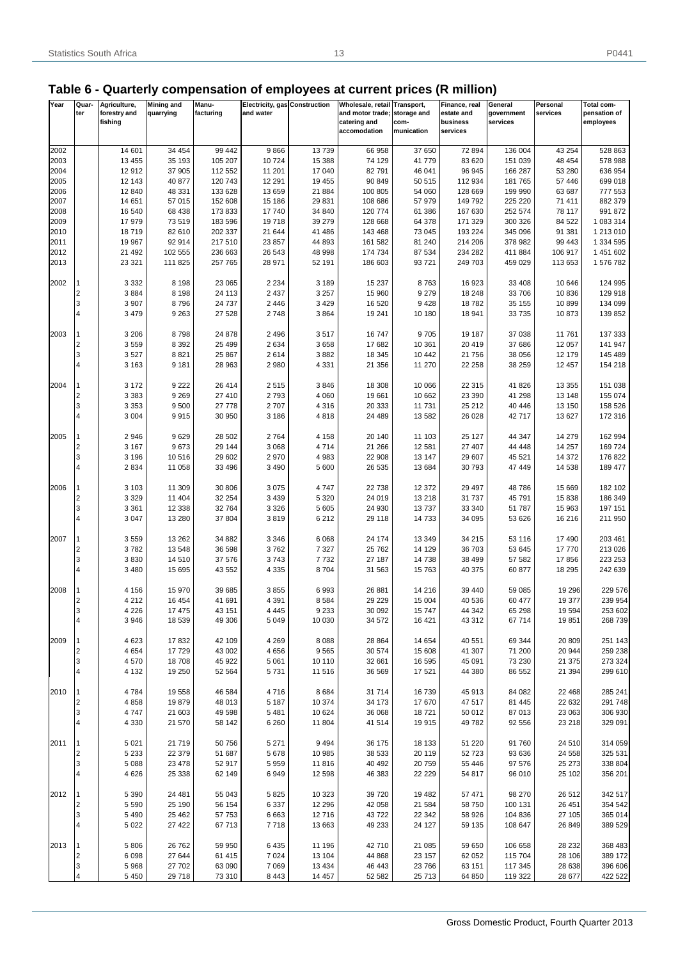## **Table 6 - Quarterly compensation of employees at current prices (R million)**

| Year | Quar-                   | Agriculture, | <b>Mining and</b> | Manu-     | Electricity, gas Construction |         | Wholesale, retail Transport, |            | Finance, real | General    | Personal | Total com-   |
|------|-------------------------|--------------|-------------------|-----------|-------------------------------|---------|------------------------------|------------|---------------|------------|----------|--------------|
|      | ter                     | forestry and | quarrying         | facturing | and water                     |         | and motor trade; storage and |            | estate and    | government | services | pensation of |
|      |                         | fishing      |                   |           |                               |         | catering and                 | com-       | business      | services   |          | employees    |
|      |                         |              |                   |           |                               |         | accomodation                 | munication | services      |            |          |              |
|      |                         |              |                   |           |                               |         |                              |            |               |            |          |              |
| 2002 |                         | 14 601       | 34 454            | 99 442    | 9866                          | 13739   | 66 958                       | 37 650     | 72 894        | 136 004    | 43 254   | 528 863      |
| 2003 |                         | 13 455       | 35 193            | 105 207   | 10724                         | 15 388  | 74 129                       | 41779      | 83 620        | 151 039    | 48 454   | 578 988      |
| 2004 |                         | 12 912       | 37 905            | 112 552   | 11 201                        | 17 040  | 82 791                       | 46 041     | 96 945        | 166 287    | 53 280   | 636 954      |
| 2005 |                         | 12 143       | 40 877            | 120 743   | 12 291                        | 19 455  | 90 849                       | 50 515     | 112 934       | 181 765    | 57 446   | 699 018      |
| 2006 |                         | 12 840       | 48 331            | 133 628   | 13 659                        | 21 884  | 100 805                      | 54 060     | 128 669       | 199 990    | 63 687   | 777 553      |
| 2007 |                         | 14 651       | 57 015            | 152 608   | 15 186                        | 29831   | 108 686                      | 57 979     | 149 792       | 225 220    | 71 411   | 882 379      |
|      |                         |              |                   |           |                               |         |                              |            |               |            |          |              |
| 2008 |                         | 16 540       | 68 438            | 173 833   | 17740                         | 34 840  | 120 774                      | 61 386     | 167 630       | 252 574    | 78 117   | 991 872      |
| 2009 |                         | 17 979       | 73 519            | 183 596   | 19718                         | 39 279  | 128 668                      | 64 378     | 171 329       | 300 326    | 84 522   | 1 083 314    |
| 2010 |                         | 18719        | 82 610            | 202 337   | 21 644                        | 41 486  | 143 468                      | 73 045     | 193 224       | 345 096    | 91 381   | 1 213 010    |
| 2011 |                         | 19 967       | 92 914            | 217 510   | 23 857                        | 44 893  | 161 582                      | 81 240     | 214 206       | 378 982    | 99 443   | 1 334 595    |
| 2012 |                         | 21 492       | 102 555           | 236 663   | 26 543                        | 48 998  | 174 734                      | 87 534     | 234 282       | 411 884    | 106 917  | 1 451 602    |
| 2013 |                         | 23 321       | 111 825           | 257 765   | 28 971                        | 52 191  | 186 603                      | 93721      | 249 703       | 459 029    | 113 653  | 1 576 782    |
|      |                         |              |                   |           |                               |         |                              |            |               |            |          |              |
| 2002 |                         | 3 3 3 2      | 8 1 9 8           | 23 065    | 2 2 3 4                       | 3 1 8 9 | 15 2 37                      | 8763       | 16923         | 33 408     | 10 646   | 124 995      |
|      | 2                       | 3884         | 8 1 9 8           | 24 113    | 2 4 3 7                       | 3 2 5 7 | 15 960                       | 9 2 7 9    | 18 248        | 33 706     | 10836    | 129 918      |
|      | 3                       | 3 9 0 7      | 8796              | 24 7 37   | 2 4 4 6                       | 3 4 2 9 | 16 520                       | 9428       | 18782         | 35 155     | 10899    | 134 099      |
|      | 4                       | 3 4 7 9      | 9 2 6 3           | 27 5 28   | 2748                          | 3864    | 19 241                       | 10 180     | 18 941        | 33735      | 10873    | 139 852      |
|      |                         |              |                   |           |                               |         |                              |            |               |            |          |              |
|      |                         |              |                   |           |                               |         |                              |            |               |            |          | 137 333      |
| 2003 |                         | 3 206        | 8798              | 24 878    | 2 4 9 6                       | 3517    | 16747                        | 9705       | 19 187        | 37 038     | 11761    |              |
|      | $\overline{\mathbf{c}}$ | 3559         | 8 3 9 2           | 25 4 9 9  | 2634                          | 3658    | 17682                        | 10 361     | 20 419        | 37 686     | 12 057   | 141 947      |
|      | 3                       | 3527         | 8821              | 25 867    | 2614                          | 3882    | 18 345                       | 10 442     | 21 756        | 38 056     | 12 179   | 145 489      |
|      | $\overline{4}$          | 3 1 6 3      | 9 1 8 1           | 28 963    | 2980                          | 4 3 3 1 | 21 356                       | 11 270     | 22 258        | 38 259     | 12 457   | 154 218      |
|      |                         |              |                   |           |                               |         |                              |            |               |            |          |              |
| 2004 |                         | 3 172        | 9 2 2 2           | 26 414    | 2515                          | 3846    | 18 308                       | 10 066     | 22 315        | 41826      | 13 3 5 5 | 151 038      |
|      | $\overline{\mathbf{c}}$ | 3 3 8 3      | 9 2 6 9           | 27 410    | 2793                          | 4 0 6 0 | 19661                        | 10 662     | 23 390        | 41 298     | 13 148   | 155 074      |
|      | 3                       | 3 3 5 3      | 9500              | 27 778    | 2707                          | 4 3 1 6 | 20 333                       | 11731      | 25 21 2       | 40 446     | 13 150   | 158 526      |
|      | 4                       | 3 0 0 4      | 9915              | 30 950    | 3 186                         | 4818    | 24 489                       | 13582      | 26 0 28       | 42717      | 13 627   | 172 316      |
|      |                         |              |                   |           |                               |         |                              |            |               |            |          |              |
| 2005 |                         | 2946         | 9629              | 28 502    | 2764                          | 4 1 5 8 | 20 140                       | 11 103     | 25 127        | 44 347     | 14 279   | 162 994      |
|      | $\overline{\mathbf{c}}$ | 3 1 6 7      | 9673              | 29 144    | 3 0 6 8                       | 4714    | 21 266                       | 12 581     | 27 407        | 44 4 48    | 14 257   | 169 724      |
|      | 3                       | 3 1 9 6      | 10 516            |           | 2970                          | 4 9 8 3 | 22 908                       | 13 147     | 29 607        | 45 521     | 14 372   | 176 822      |
|      | 4                       |              |                   | 29 602    |                               |         |                              |            |               |            |          |              |
|      |                         | 2 8 3 4      | 11 058            | 33 496    | 3 4 9 0                       | 5 600   | 26 535                       | 13 684     | 30 793        | 47 449     | 14 5 38  | 189 477      |
|      |                         |              |                   |           |                               |         |                              |            |               |            |          |              |
| 2006 |                         | 3 1 0 3      | 11 309            | 30 806    | 3075                          | 4747    | 22 738                       | 12 372     | 29 497        | 48786      | 15 669   | 182 102      |
|      | $\overline{2}$          | 3 3 2 9      | 11 404            | 32 254    | 3 4 3 9                       | 5 3 2 0 | 24 019                       | 13 2 18    | 31 7 37       | 45791      | 15838    | 186 349      |
|      | 3                       | 3 3 6 1      | 12 3 38           | 32764     | 3 3 2 6                       | 5 6 0 5 | 24 930                       | 13737      | 33 340        | 51 787     | 15 963   | 197 151      |
|      | 4                       | 3 0 4 7      | 13 280            | 37 804    | 3819                          | 6 2 1 2 | 29 118                       | 14733      | 34 095        | 53 626     | 16 216   | 211 950      |
|      |                         |              |                   |           |                               |         |                              |            |               |            |          |              |
| 2007 |                         | 3559         | 13 26 2           | 34 882    | 3 3 4 6                       | 6 0 68  | 24 174                       | 13 3 4 9   | 34 215        | 53 116     | 17 490   | 203 461      |
|      | $\overline{\mathbf{c}}$ | 3782         | 13 548            | 36 598    | 3762                          | 7 3 2 7 | 25762                        | 14 129     | 36 703        | 53 645     | 17770    | 213 026      |
|      | 3                       | 3830         | 14 510            | 37 576    | 3743                          | 7732    | 27 187                       | 14738      | 38 499        | 57 582     | 17856    | 223 253      |
|      | $\overline{4}$          | 3 4 8 0      | 15 695            | 43 552    | 4 3 3 5                       | 8704    | 31 563                       | 15763      | 40 375        | 60 877     | 18 295   | 242 639      |
|      |                         |              |                   |           |                               |         |                              |            |               |            |          |              |
|      |                         |              |                   |           |                               |         |                              |            |               |            |          |              |
| 2008 |                         | 4 156        | 15 970            | 39 685    | 3855                          | 6993    | 26881                        | 14 216     | 39 440        | 59 085     | 19 29 6  | 229 576      |
|      | $\overline{2}$          | 4 2 1 2      | 16 454            | 41 691    | 4 3 9 1                       | 8 5 8 4 | 29 229                       | 15 004     | 40 536        | 60 477     | 19 377   | 239 954      |
|      | 3                       | 4 2 2 6      | 17 475            | 43 151    | 4 4 4 5                       | 9 2 3 3 | 30 092                       | 15747      | 44 342        | 65 298     | 19594    | 253 602      |
|      | 4                       | 3 9 4 6      | 18 539            | 49 30 6   | 5 0 4 9                       | 10 030  | 34 572                       | 16 4 21    | 43 312        | 67714      | 19851    | 268 739      |
|      |                         |              |                   |           |                               |         |                              |            |               |            |          |              |
| 2009 |                         | 4 6 23       | 17832             | 42 109    | 4 2 6 9                       | 8 0 8 8 | 28 864                       | 14 654     | 40 551        | 69 344     | 20 809   | 251 143      |
|      | $\overline{c}$          | 4 6 5 4      | 17729             | 43 002    | 4656                          | 9565    | 30 574                       | 15 608     | 41 307        | 71 200     | 20 944   | 259 238      |
|      | 3                       | 4570         | 18708             | 45 922    | 5 0 6 1                       | 10 110  | 32 661                       | 16 5 95    | 45 091        | 73 230     | 21 375   | 273 324      |
|      | 4                       | 4 1 3 2      | 19 250            | 52 564    | 5731                          | 11 516  | 36 569                       | 17521      | 44 380        | 86 552     | 21 394   | 299 610      |
|      |                         |              |                   |           |                               |         |                              |            |               |            |          |              |
| 2010 |                         | 4784         | 19 558            | 46 584    | 4716                          | 8684    | 31714                        | 16739      | 45 913        | 84 082     | 22 4 68  | 285 241      |
|      | 2                       | 4858         | 19879             | 48 013    | 5 1 8 7                       | 10 374  | 34 173                       | 17670      | 47517         | 81 445     | 22 632   | 291 748      |
|      | 3                       | 4747         |                   | 49 598    |                               | 10 624  | 36 068                       |            | 50 012        | 87013      |          | 306 930      |
|      |                         |              | 21 603            |           | 5 4 8 1                       |         |                              | 18721      |               |            | 23 063   |              |
|      | 4                       | 4 3 3 0      | 21 570            | 58 142    | 6 2 6 0                       | 11 804  | 41514                        | 19915      | 49782         | 92 556     | 23 218   | 329 091      |
|      |                         |              |                   |           |                               |         |                              |            |               |            |          |              |
| 2011 |                         | 5 0 21       | 21 719            | 50 756    | 5 2 7 1                       | 9 4 9 4 | 36 175                       | 18 133     | 51 220        | 91760      | 24 510   | 314 059      |
|      | $\overline{2}$          | 5 2 3 3      | 22 379            | 51 687    | 5678                          | 10 985  | 38 533                       | 20 119     | 52723         | 93 636     | 24 5 58  | 325 531      |
|      | 3                       | 5 0 8 8      | 23 4 78           | 52 917    | 5959                          | 11 816  | 40 492                       | 20759      | 55 446        | 97 576     | 25 273   | 338 804      |
|      | $\overline{4}$          | 4 6 2 6      | 25 338            | 62 149    | 6949                          | 12 598  | 46 383                       | 22 2 2 9   | 54 817        | 96 010     | 25 102   | 356 201      |
|      |                         |              |                   |           |                               |         |                              |            |               |            |          |              |
| 2012 |                         | 5 3 9 0      | 24 481            | 55 043    | 5825                          | 10 323  | 39720                        | 19 4 82    | 57 471        | 98 270     | 26 512   | 342 517      |
|      | $\overline{2}$          | 5 5 9 0      | 25 190            | 56 154    | 6 3 3 7                       | 12 29 6 | 42 058                       | 21 584     | 58 750        | 100 131    | 26 451   | 354 542      |
|      | 3                       | 5 4 9 0      | 25 4 62           | 57 753    | 6 6 6 3                       | 12716   | 43722                        | 22 342     | 58 926        | 104 836    | 27 105   | 365 014      |
|      |                         | 5 0 2 2      | 27 4 22           | 67713     | 7718                          | 13 663  | 49 233                       | 24 1 27    | 59 135        | 108 647    | 26 849   | 389 529      |
|      |                         |              |                   |           |                               |         |                              |            |               |            |          |              |
| 2013 |                         | 5 8 0 6      | 26 762            | 59 950    | 6435                          | 11 196  | 42710                        | 21 085     | 59 650        | 106 658    | 28 2 32  |              |
|      |                         |              |                   |           |                               |         |                              |            |               |            |          | 368 483      |
|      | $\overline{2}$          | 6 0 9 8      | 27 644            | 61 415    | 7 0 24                        | 13 104  | 44 868                       | 23 157     | 62 052        | 115 704    | 28 106   | 389 172      |
|      | 3                       | 5968         | 27 702            | 63 090    | 7 0 6 9                       | 13 4 34 | 46 443                       | 23766      | 63 151        | 117 345    | 28 638   | 396 606      |
|      |                         | 5 4 5 0      | 29 718            | 73 310    | 8 4 4 3                       | 14 457  | 52 582                       | 25713      | 64 850        | 119 322    | 28 677   | 422 522      |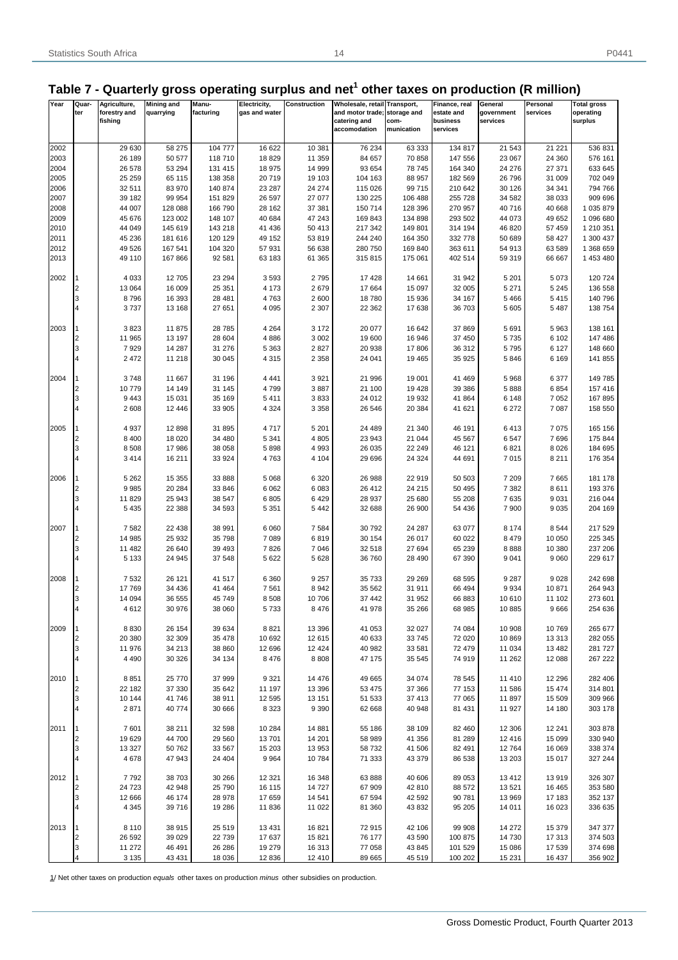## Table 7 - Quarterly gross operating surplus and net<sup>1</sup> other taxes on production (R million)

| Year | Quar-          | Agriculture, | <b>Mining and</b> | Manu-     | Electricity,  | Construction | Wholesale, retail Transport, |            | Finance, real | General    | Personal | <b>Total gross</b> |
|------|----------------|--------------|-------------------|-----------|---------------|--------------|------------------------------|------------|---------------|------------|----------|--------------------|
|      | ter            | forestry and | quarrying         | facturing | gas and water |              | and motor trade; storage and |            | estate and    | government | services | operating          |
|      |                | fishing      |                   |           |               |              | catering and                 | com-       | business      | services   |          | surplus            |
|      |                |              |                   |           |               |              | accomodation                 | munication | services      |            |          |                    |
|      |                |              |                   |           |               |              |                              |            |               |            |          |                    |
| 2002 |                | 29 630       | 58 275            | 104 777   | 16 622        | 10 381       | 76 234                       | 63 333     | 134 817       | 21 543     | 21 221   | 536 831            |
| 2003 |                | 26 189       | 50 577            | 118 710   | 18829         | 11 359       | 84 657                       | 70 858     | 147 556       | 23 067     | 24 360   | 576 161            |
|      |                |              |                   |           |               |              | 93 654                       |            | 164 340       |            | 27 371   |                    |
| 2004 |                | 26 578       | 53 294            | 131 415   | 18 975        | 14 999       |                              | 78 745     |               | 24 276     |          | 633 645            |
| 2005 |                | 25 25 9      | 65 115            | 138 358   | 20719         | 19 103       | 104 163                      | 88 957     | 182 569       | 26 796     | 31 009   | 702 049            |
| 2006 |                | 32 511       | 83 970            | 140 874   | 23 287        | 24 274       | 115 026                      | 99 715     | 210 642       | 30 126     | 34 341   | 794 766            |
| 2007 |                | 39 182       | 99 954            | 151 829   | 26 597        | 27 077       | 130 225                      | 106 488    | 255 728       | 34 582     | 38 033   | 909 696            |
| 2008 |                | 44 007       | 128 088           | 166 790   | 28 162        | 37 381       | 150 714                      | 128 396    | 270 957       | 40716      | 40 668   | 1 035 879          |
| 2009 |                | 45 676       | 123 002           | 148 107   | 40 684        | 47 243       | 169 843                      | 134 898    | 293 502       | 44 073     | 49 652   | 1 096 680          |
| 2010 |                | 44 049       | 145 619           | 143 218   | 41 436        | 50 413       | 217 342                      | 149 801    | 314 194       | 46 820     | 57 459   | 1 210 351          |
| 2011 |                | 45 236       | 181 616           | 120 129   | 49 152        | 53819        | 244 240                      | 164 350    | 332 778       | 50 689     | 58 427   | 1 300 437          |
| 2012 |                | 49 526       | 167 541           | 104 320   | 57 931        | 56 638       | 280 750                      | 169 840    | 363 611       | 54 913     | 63 589   | 1 368 659          |
| 2013 |                | 49 110       | 167 866           | 92 581    | 63 183        | 61 365       | 315 815                      | 175 061    | 402 514       | 59 319     | 66 667   | 1 453 480          |
|      |                |              |                   |           |               |              |                              |            |               |            |          |                    |
| 2002 |                | 4 0 3 3      | 12 705            | 23 294    | 3593          | 2795         | 17 4 28                      | 14 661     | 31 942        | 5 2 0 1    | 5073     | 120 724            |
|      |                |              |                   |           |               |              |                              |            |               |            |          |                    |
|      | 2              | 13 064       | 16 009            | 25 351    | 4 173         | 2679         | 17 664                       | 15 097     | 32 005        | 5 2 7 1    | 5 2 4 5  | 136 558            |
|      | 3              | 8796         | 16 393            | 28 481    | 4763          | 2600         | 18780                        | 15 936     | 34 167        | 5 4 6 6    | 5415     | 140 796            |
|      | 4              | 3737         | 13 168            | 27 651    | 4 0 9 5       | 2 3 0 7      | 22 362                       | 17638      | 36703         | 5 6 0 5    | 5 4 8 7  | 138 754            |
|      |                |              |                   |           |               |              |                              |            |               |            |          |                    |
| 2003 |                | 3823         | 11 875            | 28 7 85   | 4 2 6 4       | 3 1 7 2      | 20 077                       | 16 642     | 37 869        | 5 6 9 1    | 5963     | 138 161            |
|      | $\overline{c}$ | 11 965       | 13 197            | 28 604    | 4886          | 3 0 0 2      | 19 600                       | 16 946     | 37 450        | 5735       | 6 1 0 2  | 147 486            |
|      | 3              | 7929         | 14 287            | 31 276    | 5 3 6 3       | 2827         | 20 938                       | 17806      | 36 312        | 5795       | 6 1 2 7  | 148 660            |
|      | 4              | 2 4 7 2      | 11 218            | 30 045    | 4 3 1 5       | 2 3 5 8      | 24 041                       | 19 4 65    | 35 925        | 5846       | 6 1 6 9  | 141 855            |
|      |                |              |                   |           |               |              |                              |            |               |            |          |                    |
| 2004 | 1              | 3748         | 11 667            | 31 196    | 4 4 4 1       | 3921         | 21 996                       | 19 001     | 41 469        | 5968       | 6377     | 149 785            |
|      | 2              | 10779        | 14 14 9           | 31 145    | 4799          | 3887         | 21 100                       | 19 4 28    | 39 386        | 5888       | 6854     | 157 416            |
|      | 3              |              |                   |           |               |              |                              |            |               |            |          |                    |
|      |                | 9 4 4 3      | 15 031            | 35 169    | 5 4 1 1       | 3833         | 24 012                       | 19 9 32    | 41 864        | 6 1 4 8    | 7052     | 167 895            |
|      | 4              | 2 6 0 8      | 12 4 4 6          | 33 905    | 4 3 2 4       | 3 3 5 8      | 26 546                       | 20 384     | 41 621        | 6 2 7 2    | 7 0 8 7  | 158 550            |
|      |                |              |                   |           |               |              |                              |            |               |            |          |                    |
| 2005 |                | 4 9 3 7      | 12 898            | 31 895    | 4717          | 5 2 0 1      | 24 489                       | 21 340     | 46 191        | 6413       | 7075     | 165 156            |
|      | 2              | 8 4 0 0      | 18 0 20           | 34 480    | 5 3 4 1       | 4 8 0 5      | 23 943                       | 21 044     | 45 567        | 6547       | 7696     | 175 844            |
|      | 3              | 8 5 0 8      | 17 986            | 38 058    | 5898          | 4 9 9 3      | 26 035                       | 22 24 9    | 46 121        | 6821       | 8026     | 184 695            |
|      | 4              | 3 4 1 4      | 16 211            | 33 924    | 4763          | 4 1 0 4      | 29 69 6                      | 24 3 24    | 44 691        | 7 0 1 5    | 8 2 1 1  | 176 354            |
|      |                |              |                   |           |               |              |                              |            |               |            |          |                    |
| 2006 |                | 5 2 6 2      | 15 355            | 33 888    | 5 0 68        | 6 3 2 0      | 26 988                       | 22 919     | 50 503        | 7 2 0 9    | 7665     | 181 178            |
|      | $\overline{c}$ | 9985         | 20 284            | 33 846    | 6 0 62        | 6083         | 26 412                       | 24 215     | 50 495        | 7 3 8 2    | 8611     | 193 376            |
|      | 3              | 11 829       | 25 943            | 38 547    | 6805          | 6 4 2 9      | 28 937                       | 25 680     | 55 208        | 7635       | 9031     | 216 044            |
|      | 4              | 5 4 3 5      | 22 388            | 34 593    | 5 3 5 1       | 5 4 4 2      | 32 688                       | 26 900     | 54 436        | 7 900      | 9035     | 204 169            |
|      |                |              |                   |           |               |              |                              |            |               |            |          |                    |
|      |                |              |                   |           |               |              |                              |            |               |            |          |                    |
| 2007 |                | 7582         | 22 4 38           | 38 991    | 6 0 6 0       | 7584         | 30 792                       | 24 287     | 63 077        | 8 1 7 4    | 8544     | 217 529            |
|      | 2              | 14 985       | 25 932            | 35 798    | 7 0 8 9       | 6819         | 30 154                       | 26 017     | 60 022        | 8 4 7 9    | 10 050   | 225 345            |
|      | 3              | 11 482       | 26 640            | 39 4 93   | 7826          | 7 0 46       | 32 518                       | 27 694     | 65 239        | 8888       | 10 380   | 237 206            |
|      | 4              | 5 1 3 3      | 24 945            | 37 548    | 5 6 22        | 5628         | 36 760                       | 28 4 9 0   | 67 390        | 9 0 4 1    | 9 0 6 0  | 229 617            |
|      |                |              |                   |           |               |              |                              |            |               |            |          |                    |
| 2008 |                | 7 5 3 2      | 26 121            | 41 517    | 6 3 6 0       | 9 2 5 7      | 35 733                       | 29 26 9    | 68 595        | 9 2 8 7    | 9028     | 242 698            |
|      | 2              | 17769        | 34 4 36           | 41 4 64   | 7561          | 8 9 4 2      | 35 562                       | 31 911     | 66 494        | 9934       | 10871    | 264 943            |
|      | 3              | 14 094       | 36 555            | 45 749    | 8 5 0 8       | 10706        | 37 442                       | 31 952     | 66 883        | 10 610     | 11 102   | 273 601            |
|      |                | 4612         | 30 976            | 38 060    | 5733          | 8 4 7 6      | 41 978                       | 35 26 6    | 68 985        | 10885      | 9666     | 254 636            |
|      |                |              |                   |           |               |              |                              |            |               |            |          |                    |
| 2009 |                | 8 8 3 0      | 26 154            | 39 634    | 8821          | 13 3 96      | 41 053                       | 32 027     | 74 084        | 10 908     | 10769    | 265 677            |
|      | 2              | 20 380       | 32 309            | 35 478    | 10 692        | 12 615       | 40 633                       | 33 745     | 72 020        | 10 869     | 13 3 13  | 282 055            |
|      | 3              | 11 976       | 34 213            | 38 860    | 12 696        | 12 4 24      | 40 982                       | 33 581     | 72 479        | 11 0 34    | 13 4 8 2 | 281 727            |
|      | 4              |              |                   |           |               |              |                              |            |               |            |          |                    |
|      |                | 4 4 9 0      | 30 326            | 34 134    | 8 4 7 6       | 8808         | 47 175                       | 35 545     | 74 919        | 11 262     | 12 088   | 267 222            |
|      |                |              |                   |           |               |              |                              |            |               |            |          |                    |
| 2010 | $\mathbf{1}$   | 8851         | 25 770            | 37 999    | 9 3 21        | 14 4 76      | 49 665                       | 34 074     | 78 545        | 11 410     | 12 2 9 6 | 282 406            |
|      | 2              | 22 182       | 37 330            | 35 642    | 11 197        | 13 396       | 53 475                       | 37 366     | 77 153        | 11 586     | 15 4 74  | 314 801            |
|      | 3              | 10 144       | 41 746            | 38 911    | 12 595        | 13 151       | 51 533                       | 37 413     | 77 065        | 11 897     | 15 509   | 309 966            |
|      | 4              | 2871         | 40 774            | 30 666    | 8 3 2 3       | 9 3 9 0      | 62 668                       | 40 948     | 81 431        | 11 927     | 14 180   | 303 178            |
|      |                |              |                   |           |               |              |                              |            |               |            |          |                    |
| 2011 | $\mathbf{1}$   | 7601         | 38 211            | 32 598    | 10 284        | 14881        | 55 186                       | 38 109     | 82 460        | 12 306     | 12 241   | 303 878            |
|      | 2              | 19 629       | 44 700            | 29 560    | 13701         | 14 201       | 58 989                       | 41 356     | 81 289        | 12 4 16    | 15 0 99  | 330 940            |
|      | 3              | 13 3 27      | 50 762            | 33 567    | 15 203        | 13 953       | 58 732                       | 41 506     | 82 491        | 12764      | 16 069   | 338 374            |
|      | 4              | 4678         | 47 943            | 24 404    | 9 9 6 4       | 10784        | 71 333                       | 43 379     | 86 538        | 13 203     | 15 017   | 327 244            |
|      |                |              |                   |           |               |              |                              |            |               |            |          |                    |
| 2012 | $\mathbf{1}$   | 7792         | 38 703            | 30 266    | 12 3 21       | 16 348       | 63 888                       | 40 60 6    | 89 053        | 13 4 12    | 13919    | 326 307            |
|      | 2              | 24 7 23      | 42 948            | 25 790    | 16 115        | 14727        | 67 909                       | 42 810     | 88 572        | 13 5 21    | 16 4 65  | 353 580            |
|      |                |              |                   |           |               |              |                              |            |               |            |          |                    |
|      | 3              | 12 666       | 46 174            | 28 978    | 17 659        | 14 541       | 67 594                       | 42 592     | 90 781        | 13 969     | 17 183   | 352 137            |
|      | 4              | 4 3 4 5      | 39 716            | 19 28 6   | 11836         | 11 022       | 81 360                       | 43 832     | 95 205        | 14 011     | 16 0 23  | 336 635            |
|      |                |              |                   |           |               |              |                              |            |               |            |          |                    |
| 2013 |                | 8 1 1 0      | 38 915            | 25 519    | 13 4 31       | 16821        | 72 915                       | 42 106     | 99 908        | 14 27 2    | 15 379   | 347 377            |
|      | 2              | 26 592       | 39 0 29           | 22 739    | 17637         | 15 821       | 76 177                       | 43 590     | 100 875       | 14 730     | 17313    | 374 503            |
|      | 3              | 11 272       | 46 491            | 26 28 6   | 19 279        | 16 313       | 77 058                       | 43 845     | 101 529       | 15 086     | 17 539   | 374 698            |
|      | 4              | 3 1 3 5      | 43 4 31           | 18 0 36   | 12 836        | 12 410       | 89 665                       | 45 519     | 100 202       | 15 2 31    | 16 437   | 356 902            |

1/ Net other taxes on production *equals* other taxes on production *minus* other subsidies on production.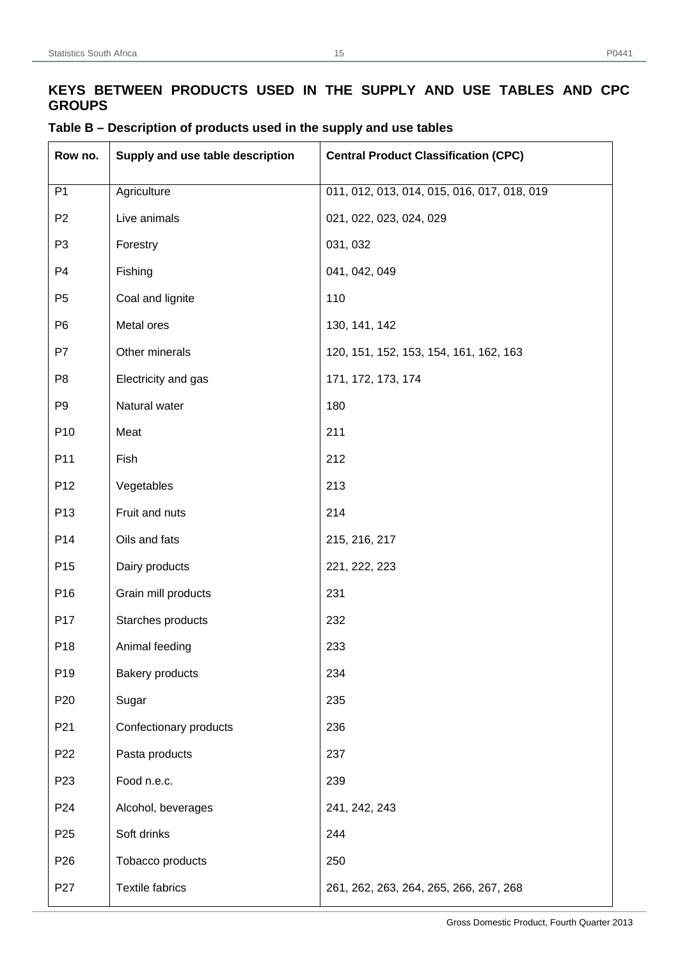| Row no.         | Supply and use table description | <b>Central Product Classification (CPC)</b> |
|-----------------|----------------------------------|---------------------------------------------|
| P <sub>1</sub>  | Agriculture                      | 011, 012, 013, 014, 015, 016, 017, 018, 019 |
| P <sub>2</sub>  | Live animals                     | 021, 022, 023, 024, 029                     |
| P <sub>3</sub>  | Forestry                         | 031, 032                                    |
| P <sub>4</sub>  | Fishing                          | 041, 042, 049                               |
| P <sub>5</sub>  | Coal and lignite                 | 110                                         |
| P <sub>6</sub>  | Metal ores                       | 130, 141, 142                               |
| P7              | Other minerals                   | 120, 151, 152, 153, 154, 161, 162, 163      |
| P <sub>8</sub>  | Electricity and gas              | 171, 172, 173, 174                          |
| P <sub>9</sub>  | Natural water                    | 180                                         |
| P <sub>10</sub> | Meat                             | 211                                         |
| P11             | Fish                             | 212                                         |
| P <sub>12</sub> | Vegetables                       | 213                                         |
| P <sub>13</sub> | Fruit and nuts                   | 214                                         |
| P14             | Oils and fats                    | 215, 216, 217                               |
| P <sub>15</sub> | Dairy products                   | 221, 222, 223                               |
| P <sub>16</sub> | Grain mill products              | 231                                         |
| P17             | Starches products                | 232                                         |
| P18             | Animal feeding                   | 233                                         |
| P <sub>19</sub> | <b>Bakery products</b>           | 234                                         |
| P <sub>20</sub> | Sugar                            | 235                                         |
| P <sub>21</sub> | Confectionary products           | 236                                         |
| P <sub>22</sub> | Pasta products                   | 237                                         |
| P <sub>23</sub> | Food n.e.c.                      | 239                                         |
| P <sub>24</sub> | Alcohol, beverages               | 241, 242, 243                               |
| P <sub>25</sub> | Soft drinks                      | 244                                         |
| P <sub>26</sub> | Tobacco products                 | 250                                         |
| P <sub>27</sub> | <b>Textile fabrics</b>           | 261, 262, 263, 264, 265, 266, 267, 268      |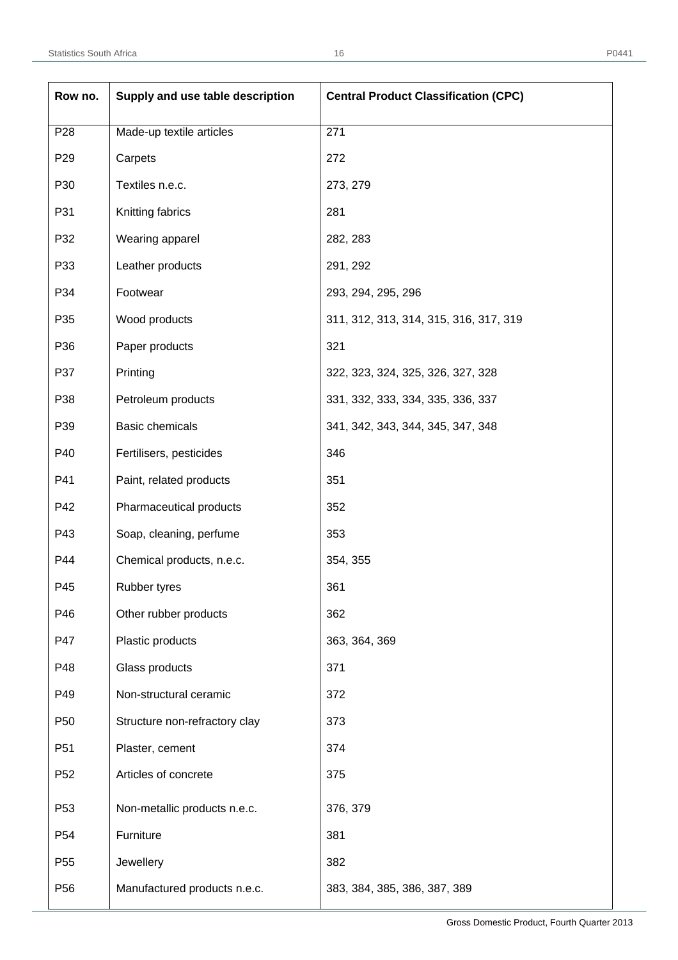| Row no.         | Supply and use table description | <b>Central Product Classification (CPC)</b> |
|-----------------|----------------------------------|---------------------------------------------|
| P <sub>28</sub> | Made-up textile articles         | 271                                         |
| P <sub>29</sub> | Carpets                          | 272                                         |
| P30             | Textiles n.e.c.                  | 273, 279                                    |
| P31             | Knitting fabrics                 | 281                                         |
| P32             | Wearing apparel                  | 282, 283                                    |
| P33             | Leather products                 | 291, 292                                    |
| P34             | Footwear                         | 293, 294, 295, 296                          |
| P35             | Wood products                    | 311, 312, 313, 314, 315, 316, 317, 319      |
| P36             | Paper products                   | 321                                         |
| P37             | Printing                         | 322, 323, 324, 325, 326, 327, 328           |
| P38             | Petroleum products               | 331, 332, 333, 334, 335, 336, 337           |
| P39             | Basic chemicals                  | 341, 342, 343, 344, 345, 347, 348           |
| P40             | Fertilisers, pesticides          | 346                                         |
| P41             | Paint, related products          | 351                                         |
| P42             | Pharmaceutical products          | 352                                         |
| P43             | Soap, cleaning, perfume          | 353                                         |
| P44             | Chemical products, n.e.c.        | 354, 355                                    |
| P45             | Rubber tyres                     | 361                                         |
| P46             | Other rubber products            | 362                                         |
| P47             | Plastic products                 | 363, 364, 369                               |
| P48             | Glass products                   | 371                                         |
| P49             | Non-structural ceramic           | 372                                         |
| P <sub>50</sub> | Structure non-refractory clay    | 373                                         |
| P <sub>51</sub> | Plaster, cement                  | 374                                         |
| P <sub>52</sub> | Articles of concrete             | 375                                         |
| P <sub>53</sub> | Non-metallic products n.e.c.     | 376, 379                                    |
| P <sub>54</sub> | Furniture                        | 381                                         |
| P <sub>55</sub> | Jewellery                        | 382                                         |
| P <sub>56</sub> | Manufactured products n.e.c.     | 383, 384, 385, 386, 387, 389                |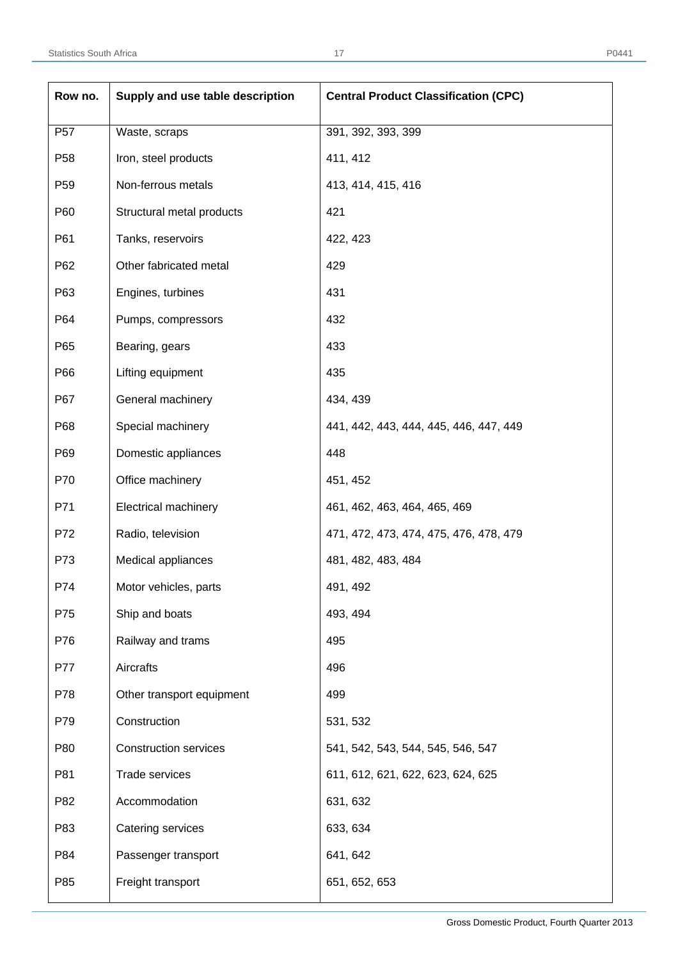| Row no.         | Supply and use table description | <b>Central Product Classification (CPC)</b> |
|-----------------|----------------------------------|---------------------------------------------|
| P <sub>57</sub> | Waste, scraps                    | 391, 392, 393, 399                          |
| P <sub>58</sub> | Iron, steel products             | 411, 412                                    |
| P <sub>59</sub> | Non-ferrous metals               | 413, 414, 415, 416                          |
| P60             | Structural metal products        | 421                                         |
| P61             | Tanks, reservoirs                | 422, 423                                    |
| P62             | Other fabricated metal           | 429                                         |
| P63             | Engines, turbines                | 431                                         |
| P64             | Pumps, compressors               | 432                                         |
| P65             | Bearing, gears                   | 433                                         |
| P66             | Lifting equipment                | 435                                         |
| P67             | General machinery                | 434, 439                                    |
| P68             | Special machinery                | 441, 442, 443, 444, 445, 446, 447, 449      |
| P69             | Domestic appliances              | 448                                         |
| P70             | Office machinery                 | 451, 452                                    |
| P71             | <b>Electrical machinery</b>      | 461, 462, 463, 464, 465, 469                |
| P72             | Radio, television                | 471, 472, 473, 474, 475, 476, 478, 479      |
| P73             | Medical appliances               | 481, 482, 483, 484                          |
| P74             | Motor vehicles, parts            | 491, 492                                    |
| P75             | Ship and boats                   | 493, 494                                    |
| P76             | Railway and trams                | 495                                         |
| P77             | Aircrafts                        | 496                                         |
| P78             | Other transport equipment        | 499                                         |
| P79             | Construction                     | 531, 532                                    |
| P80             | <b>Construction services</b>     | 541, 542, 543, 544, 545, 546, 547           |
| P81             | Trade services                   | 611, 612, 621, 622, 623, 624, 625           |
| P82             | Accommodation                    | 631, 632                                    |
| P83             | Catering services                | 633, 634                                    |
| P84             | Passenger transport              | 641, 642                                    |
| P85             | Freight transport                | 651, 652, 653                               |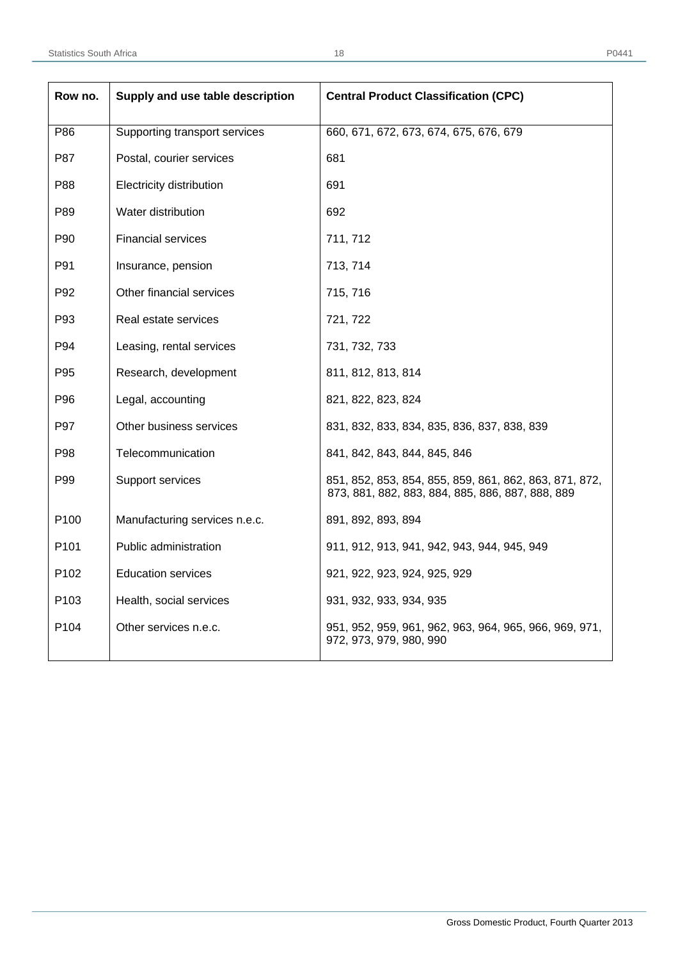| Row no. | Supply and use table description | <b>Central Product Classification (CPC)</b>                                                                |  |
|---------|----------------------------------|------------------------------------------------------------------------------------------------------------|--|
| P86     | Supporting transport services    | 660, 671, 672, 673, 674, 675, 676, 679                                                                     |  |
| P87     | Postal, courier services         | 681                                                                                                        |  |
| P88     | Electricity distribution         | 691                                                                                                        |  |
| P89     | Water distribution               | 692                                                                                                        |  |
| P90     | <b>Financial services</b>        | 711, 712                                                                                                   |  |
| P91     | Insurance, pension               | 713, 714                                                                                                   |  |
| P92     | Other financial services         | 715, 716                                                                                                   |  |
| P93     | Real estate services             | 721, 722                                                                                                   |  |
| P94     | Leasing, rental services         | 731, 732, 733                                                                                              |  |
| P95     | Research, development            | 811, 812, 813, 814                                                                                         |  |
| P96     | Legal, accounting                | 821, 822, 823, 824                                                                                         |  |
| P97     | Other business services          | 831, 832, 833, 834, 835, 836, 837, 838, 839                                                                |  |
| P98     | Telecommunication                | 841, 842, 843, 844, 845, 846                                                                               |  |
| P99     | Support services                 | 851, 852, 853, 854, 855, 859, 861, 862, 863, 871, 872,<br>873, 881, 882, 883, 884, 885, 886, 887, 888, 889 |  |
| P100    | Manufacturing services n.e.c.    | 891, 892, 893, 894                                                                                         |  |
| P101    | Public administration            | 911, 912, 913, 941, 942, 943, 944, 945, 949                                                                |  |
| P102    | <b>Education services</b>        | 921, 922, 923, 924, 925, 929                                                                               |  |
| P103    | Health, social services          | 931, 932, 933, 934, 935                                                                                    |  |
| P104    | Other services n.e.c.            | 951, 952, 959, 961, 962, 963, 964, 965, 966, 969, 971,<br>972, 973, 979, 980, 990                          |  |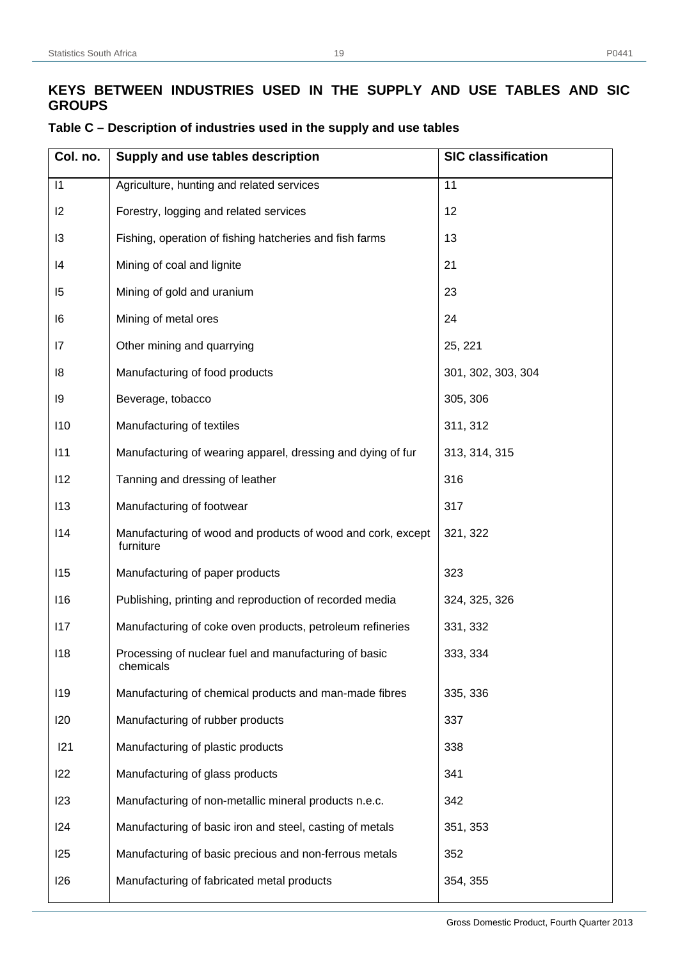## **KEYS BETWEEN INDUSTRIES USED IN THE SUPPLY AND USE TABLES AND SIC GROUPS**

| Col. no. | Supply and use tables description                                        | <b>SIC classification</b> |
|----------|--------------------------------------------------------------------------|---------------------------|
| 1        | Agriculture, hunting and related services                                | 11                        |
| 12       | Forestry, logging and related services                                   | 12                        |
| 13       | Fishing, operation of fishing hatcheries and fish farms                  | 13                        |
| 14       | Mining of coal and lignite                                               | 21                        |
| 15       | Mining of gold and uranium                                               | 23                        |
| 16       | Mining of metal ores                                                     | 24                        |
| 17       | Other mining and quarrying                                               | 25, 221                   |
| 18       | Manufacturing of food products                                           | 301, 302, 303, 304        |
| 19       | Beverage, tobacco                                                        | 305, 306                  |
| 110      | Manufacturing of textiles                                                | 311, 312                  |
| 111      | Manufacturing of wearing apparel, dressing and dying of fur              | 313, 314, 315             |
| 112      | Tanning and dressing of leather                                          | 316                       |
| 113      | Manufacturing of footwear                                                | 317                       |
| 114      | Manufacturing of wood and products of wood and cork, except<br>furniture | 321, 322                  |
| 115      | Manufacturing of paper products                                          | 323                       |
| 116      | Publishing, printing and reproduction of recorded media                  | 324, 325, 326             |
| 117      | Manufacturing of coke oven products, petroleum refineries                | 331, 332                  |
| 118      | Processing of nuclear fuel and manufacturing of basic<br>chemicals       | 333, 334                  |
| 119      | Manufacturing of chemical products and man-made fibres                   | 335, 336                  |
| 120      | Manufacturing of rubber products                                         | 337                       |
| 121      | Manufacturing of plastic products                                        | 338                       |
| 122      | Manufacturing of glass products                                          | 341                       |
| 123      | Manufacturing of non-metallic mineral products n.e.c.                    | 342                       |
| 124      | Manufacturing of basic iron and steel, casting of metals                 | 351, 353                  |
| 125      | Manufacturing of basic precious and non-ferrous metals                   | 352                       |
| 126      | Manufacturing of fabricated metal products                               | 354, 355                  |

## **Table C – Description of industries used in the supply and use tables**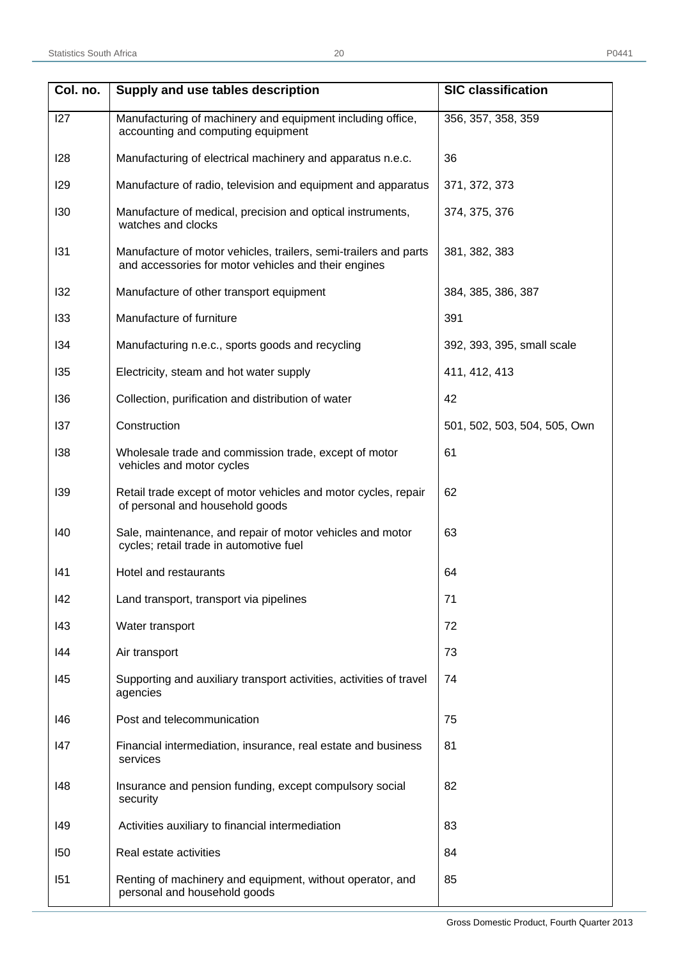| Col. no.   | Supply and use tables description                                                                                        | <b>SIC classification</b>    |
|------------|--------------------------------------------------------------------------------------------------------------------------|------------------------------|
| 127        | Manufacturing of machinery and equipment including office,<br>accounting and computing equipment                         | 356, 357, 358, 359           |
| 128        | Manufacturing of electrical machinery and apparatus n.e.c.                                                               | 36                           |
| <b>129</b> | Manufacture of radio, television and equipment and apparatus                                                             | 371, 372, 373                |
| 130        | Manufacture of medical, precision and optical instruments,<br>watches and clocks                                         | 374, 375, 376                |
| 131        | Manufacture of motor vehicles, trailers, semi-trailers and parts<br>and accessories for motor vehicles and their engines | 381, 382, 383                |
| 132        | Manufacture of other transport equipment                                                                                 | 384, 385, 386, 387           |
| 133        | Manufacture of furniture                                                                                                 | 391                          |
| 134        | Manufacturing n.e.c., sports goods and recycling                                                                         | 392, 393, 395, small scale   |
| 135        | Electricity, steam and hot water supply                                                                                  | 411, 412, 413                |
| 136        | Collection, purification and distribution of water                                                                       | 42                           |
| 137        | Construction                                                                                                             | 501, 502, 503, 504, 505, Own |
| 138        | Wholesale trade and commission trade, except of motor<br>vehicles and motor cycles                                       | 61                           |
| 139        | Retail trade except of motor vehicles and motor cycles, repair<br>of personal and household goods                        | 62                           |
| 140        | Sale, maintenance, and repair of motor vehicles and motor<br>cycles; retail trade in automotive fuel                     | 63                           |
| 141        | Hotel and restaurants                                                                                                    | 64                           |
| 142        | Land transport, transport via pipelines                                                                                  | 71                           |
| 143        | Water transport                                                                                                          | 72                           |
| 144        | Air transport                                                                                                            | 73                           |
| 145        | Supporting and auxiliary transport activities, activities of travel<br>agencies                                          | 74                           |
| 146        | Post and telecommunication                                                                                               | 75                           |
| 147        | Financial intermediation, insurance, real estate and business<br>services                                                | 81                           |
| 148        | Insurance and pension funding, except compulsory social<br>security                                                      | 82                           |
| 149        | Activities auxiliary to financial intermediation                                                                         | 83                           |
| 150        | Real estate activities                                                                                                   | 84                           |
| 151        | Renting of machinery and equipment, without operator, and<br>personal and household goods                                | 85                           |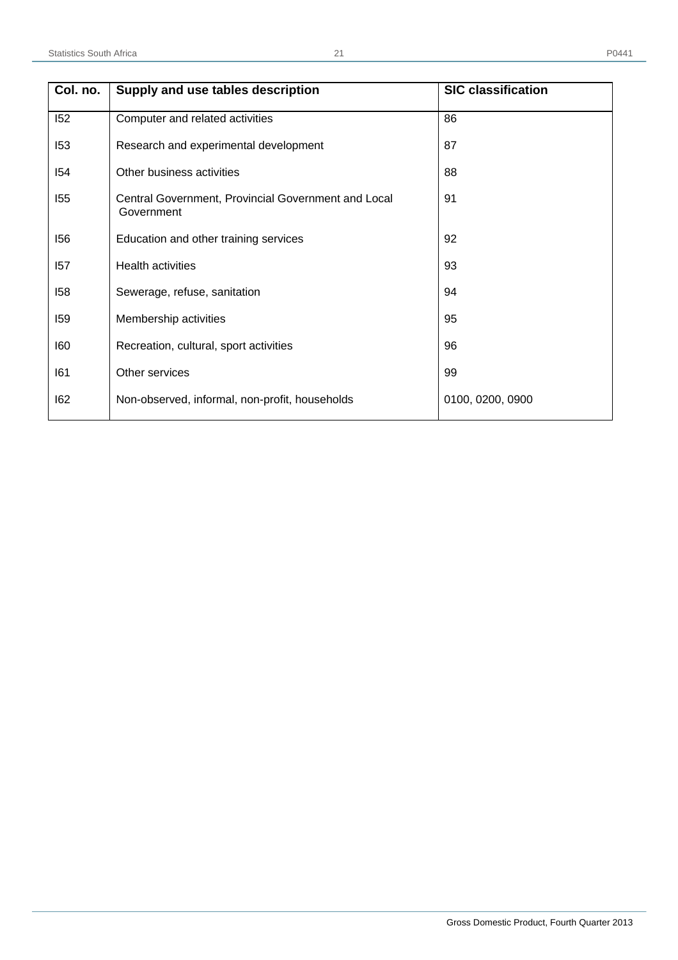|  | ۰,<br>œ |  |  |
|--|---------|--|--|

| Col. no. | Supply and use tables description                                 | <b>SIC classification</b> |
|----------|-------------------------------------------------------------------|---------------------------|
| 152      | Computer and related activities                                   | 86                        |
| 153      | Research and experimental development                             | 87                        |
| 154      | Other business activities                                         | 88                        |
| 155      | Central Government, Provincial Government and Local<br>Government | 91                        |
| 156      | Education and other training services                             | 92                        |
| 157      | <b>Health activities</b>                                          | 93                        |
| 158      | Sewerage, refuse, sanitation                                      | 94                        |
| 159      | Membership activities                                             | 95                        |
| 160      | Recreation, cultural, sport activities                            | 96                        |
| 161      | Other services                                                    | 99                        |
| 162      | Non-observed, informal, non-profit, households                    | 0100, 0200, 0900          |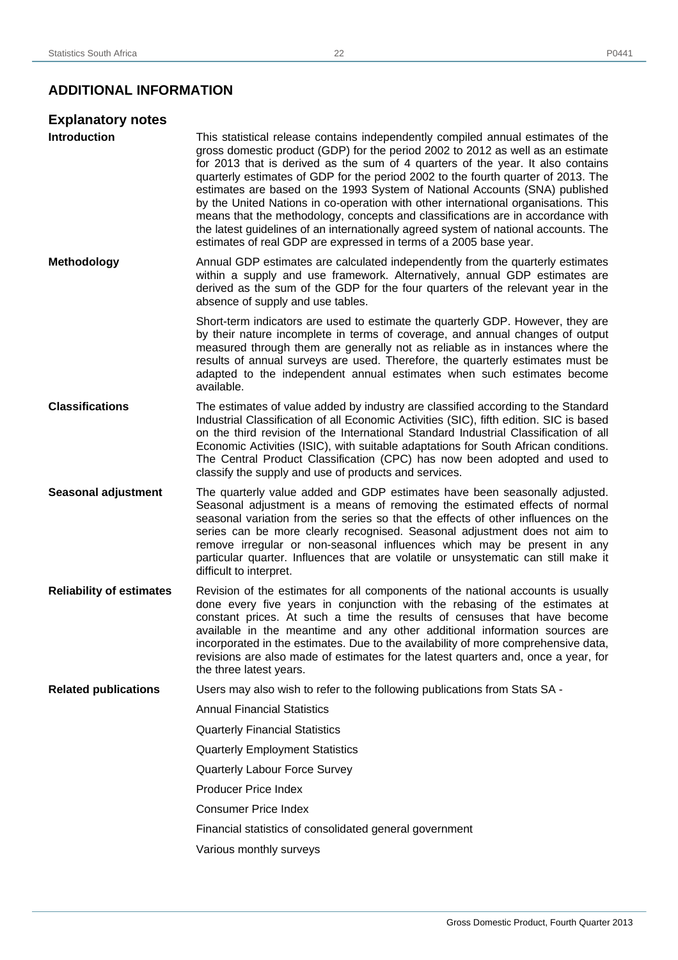## **ADDITIONAL INFORMATION**

| <b>Explanatory notes</b>        |                                                                                                                                                                                                                                                                                                                                                                                                                                                                                                                                                                                                                                                                                                                                                                 |
|---------------------------------|-----------------------------------------------------------------------------------------------------------------------------------------------------------------------------------------------------------------------------------------------------------------------------------------------------------------------------------------------------------------------------------------------------------------------------------------------------------------------------------------------------------------------------------------------------------------------------------------------------------------------------------------------------------------------------------------------------------------------------------------------------------------|
| <b>Introduction</b>             | This statistical release contains independently compiled annual estimates of the<br>gross domestic product (GDP) for the period 2002 to 2012 as well as an estimate<br>for 2013 that is derived as the sum of 4 quarters of the year. It also contains<br>quarterly estimates of GDP for the period 2002 to the fourth quarter of 2013. The<br>estimates are based on the 1993 System of National Accounts (SNA) published<br>by the United Nations in co-operation with other international organisations. This<br>means that the methodology, concepts and classifications are in accordance with<br>the latest guidelines of an internationally agreed system of national accounts. The<br>estimates of real GDP are expressed in terms of a 2005 base year. |
| <b>Methodology</b>              | Annual GDP estimates are calculated independently from the quarterly estimates<br>within a supply and use framework. Alternatively, annual GDP estimates are<br>derived as the sum of the GDP for the four quarters of the relevant year in the<br>absence of supply and use tables.                                                                                                                                                                                                                                                                                                                                                                                                                                                                            |
|                                 | Short-term indicators are used to estimate the quarterly GDP. However, they are<br>by their nature incomplete in terms of coverage, and annual changes of output<br>measured through them are generally not as reliable as in instances where the<br>results of annual surveys are used. Therefore, the quarterly estimates must be<br>adapted to the independent annual estimates when such estimates become<br>available.                                                                                                                                                                                                                                                                                                                                     |
| <b>Classifications</b>          | The estimates of value added by industry are classified according to the Standard<br>Industrial Classification of all Economic Activities (SIC), fifth edition. SIC is based<br>on the third revision of the International Standard Industrial Classification of all<br>Economic Activities (ISIC), with suitable adaptations for South African conditions.<br>The Central Product Classification (CPC) has now been adopted and used to<br>classify the supply and use of products and services.                                                                                                                                                                                                                                                               |
| <b>Seasonal adjustment</b>      | The quarterly value added and GDP estimates have been seasonally adjusted.<br>Seasonal adjustment is a means of removing the estimated effects of normal<br>seasonal variation from the series so that the effects of other influences on the<br>series can be more clearly recognised. Seasonal adjustment does not aim to<br>remove irregular or non-seasonal influences which may be present in any<br>particular quarter. Influences that are volatile or unsystematic can still make it<br>difficult to interpret.                                                                                                                                                                                                                                         |
| <b>Reliability of estimates</b> | Revision of the estimates for all components of the national accounts is usually<br>done every five years in conjunction with the rebasing of the estimates at<br>constant prices. At such a time the results of censuses that have become<br>available in the meantime and any other additional information sources are<br>incorporated in the estimates. Due to the availability of more comprehensive data,<br>revisions are also made of estimates for the latest quarters and, once a year, for<br>the three latest years.                                                                                                                                                                                                                                 |
| <b>Related publications</b>     | Users may also wish to refer to the following publications from Stats SA -                                                                                                                                                                                                                                                                                                                                                                                                                                                                                                                                                                                                                                                                                      |
|                                 | <b>Annual Financial Statistics</b>                                                                                                                                                                                                                                                                                                                                                                                                                                                                                                                                                                                                                                                                                                                              |
|                                 | <b>Quarterly Financial Statistics</b>                                                                                                                                                                                                                                                                                                                                                                                                                                                                                                                                                                                                                                                                                                                           |
|                                 | <b>Quarterly Employment Statistics</b>                                                                                                                                                                                                                                                                                                                                                                                                                                                                                                                                                                                                                                                                                                                          |
|                                 | Quarterly Labour Force Survey                                                                                                                                                                                                                                                                                                                                                                                                                                                                                                                                                                                                                                                                                                                                   |
|                                 | <b>Producer Price Index</b>                                                                                                                                                                                                                                                                                                                                                                                                                                                                                                                                                                                                                                                                                                                                     |
|                                 | <b>Consumer Price Index</b>                                                                                                                                                                                                                                                                                                                                                                                                                                                                                                                                                                                                                                                                                                                                     |
|                                 | Financial statistics of consolidated general government                                                                                                                                                                                                                                                                                                                                                                                                                                                                                                                                                                                                                                                                                                         |
|                                 | Various monthly surveys                                                                                                                                                                                                                                                                                                                                                                                                                                                                                                                                                                                                                                                                                                                                         |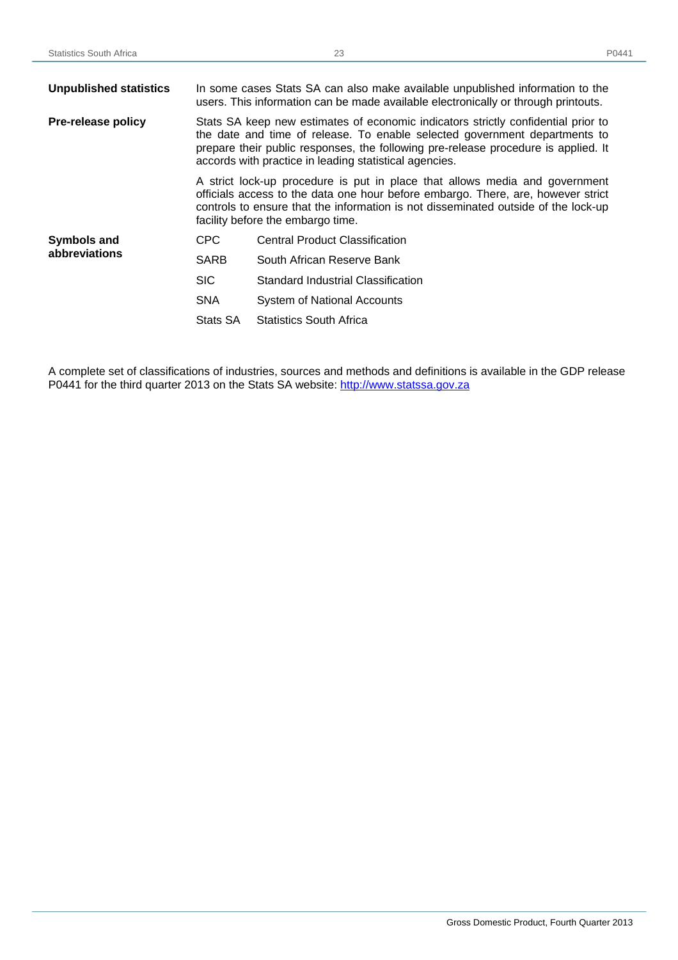| <b>Unpublished statistics</b> | In some cases Stats SA can also make available unpublished information to the<br>users. This information can be made available electronically or through printouts.                                                                                                                                             |                                                                                                                                                                                                                                                                                            |  |
|-------------------------------|-----------------------------------------------------------------------------------------------------------------------------------------------------------------------------------------------------------------------------------------------------------------------------------------------------------------|--------------------------------------------------------------------------------------------------------------------------------------------------------------------------------------------------------------------------------------------------------------------------------------------|--|
| Pre-release policy            | Stats SA keep new estimates of economic indicators strictly confidential prior to<br>the date and time of release. To enable selected government departments to<br>prepare their public responses, the following pre-release procedure is applied. It<br>accords with practice in leading statistical agencies. |                                                                                                                                                                                                                                                                                            |  |
|                               |                                                                                                                                                                                                                                                                                                                 | A strict lock-up procedure is put in place that allows media and government<br>officials access to the data one hour before embargo. There, are, however strict<br>controls to ensure that the information is not disseminated outside of the lock-up<br>facility before the embargo time. |  |
| <b>Symbols and</b>            | CPC.                                                                                                                                                                                                                                                                                                            | <b>Central Product Classification</b>                                                                                                                                                                                                                                                      |  |
| abbreviations                 | <b>SARB</b>                                                                                                                                                                                                                                                                                                     | South African Reserve Bank                                                                                                                                                                                                                                                                 |  |
|                               | <b>SIC</b>                                                                                                                                                                                                                                                                                                      | Standard Industrial Classification                                                                                                                                                                                                                                                         |  |
|                               | <b>SNA</b>                                                                                                                                                                                                                                                                                                      | System of National Accounts                                                                                                                                                                                                                                                                |  |
|                               | Stats SA                                                                                                                                                                                                                                                                                                        | <b>Statistics South Africa</b>                                                                                                                                                                                                                                                             |  |

A complete set of classifications of industries, sources and methods and definitions is available in the GDP release P0441 for the third quarter 2013 on the Stats SA website: http://www.statssa.gov.za